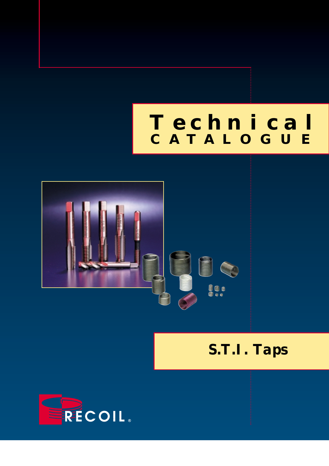# *Technical* **CATALOGUE**



*S.T.I. Taps*

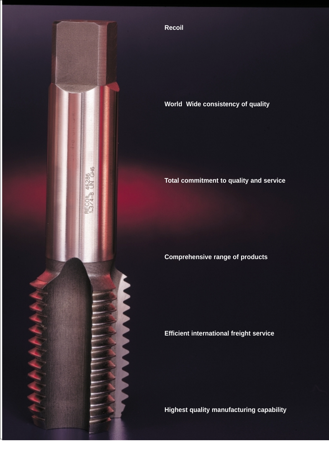

**Recoil** 

# **World Wide consistency of quality**

# **Total commitment to quality and service**

# **Comprehensive range of products**

**Efficient international freight service**

**Highest quality manufacturing capability**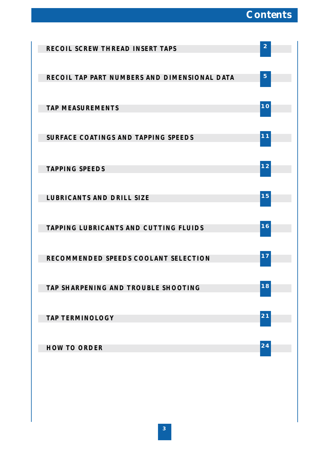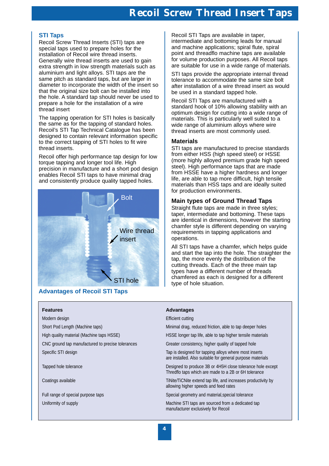# **Recoil Screw Thread Insert Taps**

# **STI Taps**

Recoil Screw Thread Inserts (STI) taps are special taps used to prepare holes for the installation of Recoil wire thread inserts. Generally wire thread inserts are used to gain extra strength in low strength materials such as aluminium and light alloys. STI taps are the same pitch as standard taps, but are larger in diameter to incorporate the width of the insert so that the original size bolt can be installed into the hole. A standard tap should never be used to prepare a hole for the installation of a wire thread insert

The tapping operation for STI holes is basically the same as for the tapping of standard holes. Recoil's STI Tap Technical Catalogue has been designed to contain relevant information specific to the correct tapping of STI holes to fit wire thread inserts.

Recoil offer high performance tap design for low torque tapping and longer tool life. High precision in manufacture and a short pod design enables Recoil STI taps to have minimal drag and consistently produce quality tapped holes.



# **Advantages of Recoil STI Taps**

Modern design Efficient cutting Efficient cutting CNC ground tap manufactured to precise tolerances Greater consistency, higher quality of tapped hole Specific STI design Tap is designed for tapping alloys where most inserts

Recoil STI Taps are available in taper, intermediate and bottoming leads for manual and machine applications; spiral flute, spiral point and threadflo machine taps are available for volume production purposes. All Recoil taps are suitable for use in a wide range of materials.

STI taps provide the appropriate internal thread tolerance to accommodate the same size bolt after installation of a wire thread insert as would be used in a standard tapped hole.

Recoil STI Taps are manufactured with a standard hook of 10% allowing stability with an optimum design for cutting into a wide range of materials. This is particularly well suited to a wide range of aluminium alloys where wire thread inserts are most commonly used.

### **Materials**

STI taps are manufactured to precise standards from either HSS (high speed steel) or HSSE (more highly alloyed premium grade high speed steel). High performance taps that are made from HSSE have a higher hardness and longer life, are able to tap more difficult, high tensile materials than HSS taps and are ideally suited for production environments.

# **Main types of Ground Thread Taps**

Straight flute taps are made in three styles; taper, intermediate and bottoming. These taps are identical in dimensions, however the starting chamfer style is different depending on varying requirements in tapping applications and operations.

All STI taps have a chamfer, which helps guide and start the tap into the hole. The straighter the tap, the more evenly the distribution of the cutting threads. Each of the three main tap types have a different number of threads chamfered as each is designed for a different type of hole situation.

# **Features Advantages**

Short Pod Length (Machine taps) and the material of the Minimal drag, reduced friction, able to tap deeper holes

High quality material (Machine taps HSSE) HSSE longer tap life, able to tap higher tensile materials

are installed. Also suitable for general purpose materials

Tapped hole tolerance **Designed to produce 3B or 4H5H** close tolerance hole except Thredflo taps which are made to a 2B or 6H tolerance

Coatings available TiMite/TiCNite extend tap life, and increases productivity by allowing higher speeds and feed rates

Full range of special purpose taps Special geometry and material, special delerance

Uniformity of supply **Machine STI taps are sourced from a dedicated tap** manufacturer exclusively for Recoil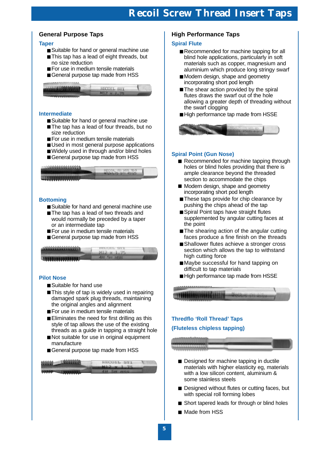# **General Purpose Taps**

## **Taper**

- Suitable for hand or general machine use
- This tap has a lead of eight threads, but no size reduction
- For use in medium tensile materials
- General purpose tap made from HSS



### **Intermediate**

- Suitable for hand or general machine use
- The tap has a lead of four threads, but no size reduction
- For use in medium tensile materials
- Used in most general purpose applications
- Widely used in through and/or blind holes
- General purpose tap made from HSS



## **Bottoming**

- Suitable for hand and general machine use
- The tap has a lead of two threads and would normally be preceded by a taper or an intermediate tap
- For use in medium tensile materials
- General purpose tap made from HSS



## **Pilot Nose**

- Suitable for hand use
- This style of tap is widely used in repairing damaged spark plug threads, maintaining the original angles and alignment
- For use in medium tensile materials
- Eliminates the need for first drilling as this style of tap allows the use of the existing threads as a guide in tapping a straight hole
- Not suitable for use in original equipment manufacture
- General purpose tap made from HSS



# **High Performance Taps**

## **Spiral Flute**

- Recommended for machine tapping for all blind hole applications, particularly in soft materials such as copper, magnesium and aluminium which produce long stringy swarf
- Modern design, shape and geometry incorporating short pod length
- The shear action provided by the spiral flutes draws the swarf out of the hole allowing a greater depth of threading without the swarf clogging
- High performance tap made from HSSE



# **Spiral Point (Gun Nose)**

- Recommended for machine tapping through holes or blind holes providing that there is ample clearance beyond the threaded section to accommodate the chips
- Modern design, shape and geometry incorporating short pod length
- These taps provide for chip clearance by pushing the chips ahead of the tap
- Spiral Point taps have straight flutes supplemented by angular cutting faces at the point
- The shearing action of the angular cutting faces produce a fine finish on the threads
- Shallower flutes achieve a stronger cross section which allows the tap to withstand high cutting force
- Maybe successful for hand tapping on difficult to tap materials
- High performance tap made from HSSE



# **(Fluteless chipless tapping)**



- Designed for machine tapping in ductile materials with higher elasticity eg, materials with a low silicon content, aluminium & some stainless steels
- Designed without flutes or cutting faces, but with special roll forming lobes
- Short tapered leads for through or blind holes
- Made from HSS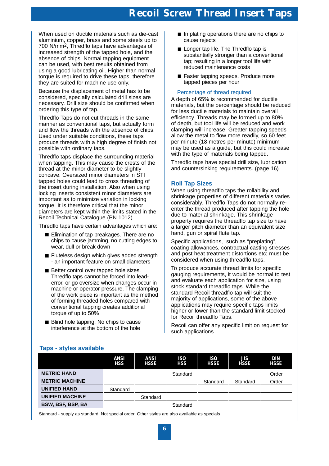When used on ductile materials such as die-cast aluminium, copper, brass and some steels up to 700 N/mm2, Thredflo taps have advantages of increased strength of the tapped hole, and the absence of chips. Normal tapping equipment can be used, with best results obtained from using a good lubricating oil. Higher than normal torque is required to drive these taps, therefore they are suited for machine use only.

Because the displacement of metal has to be considered, specially calculated drill sizes are necessary. Drill size should be confirmed when ordering this type of tap.

Thredflo Taps do not cut threads in the same manner as conventional taps, but actually form and flow the threads with the absence of chips. Used under suitable conditions, these taps produce threads with a high degree of finish not possible with ordinary taps.

Thredflo taps displace the surrounding material when tapping. This may cause the crests of the thread at the minor diameter to be slightly concave. Oversized minor diameters in STI tapped holes could lead to cross threading of the insert during installation. Also when using locking inserts consistent minor diameters are important as to minimize variation in locking torque. It is therefore critical that the minor diameters are kept within the limits stated in the Recoil Technical Catalogue (PN 1012).

Thredflo taps have certain advantages which are:

- Elimination of tap breakages. There are no chips to cause jamming, no cutting edges to wear, dull or break down
- Fluteless design which gives added strength - an important feature on small diameters
- Better control over tapped hole sizes. Thredflo taps cannot be forced into leaderror, or go oversize when changes occur in machine or operator pressure. The clamping of the work piece is important as the method of forming threaded holes compared with conventional tapping creates additional torque of up to 50%
- Blind hole tapping. No chips to cause interference at the bottom of the hole
- In plating operations there are no chips to cause rejects
- Longer tap life. The Thredflo tap is substantially stronger than a conventional tap; resulting in a longer tool life with reduced maintenance costs
- Faster tapping speeds. Produce more tapped pieces per hour

# Percentage of thread required

A depth of 65% is recommended for ductile materials, but the percentage should be reduced for less ductile materials to maintain overall efficiency. Threads may be formed up to 80% of depth, but tool life will be reduced and work clamping will increase. Greater tapping speeds allow the metal to flow more readily, so 60 feet per minute (18 metres per minute) minimum may be used as a guide, but this could increase with the type of materials being tapped.

Thredflo taps have special drill size, lubrication and countersinking requirements. (page 16)

# **Roll Tap Sizes**

When using threadflo taps the rollability and shrinkage properties of different materials varies considerably. Thredflo Taps do not normally reenter the thread produced after tapping the hole due to material shrinkage. This shrinkage property requires the threadflo tap size to have a larger pitch diameter than an equivalent size hand, gun or spiral flute tap.

Specific applications, such as "preplating", coating allowances, contractual casting stresses and post heat treatment distortions etc; must be considered when using threadflo taps.

To produce accurate thread limits for specific gauging requirements, it would be normal to test and evaluate each application for size, using stock standard threadflo taps. While the standard Recoil threadflo tap will suit the majority of applications, some of the above applications may require specific taps limits higher or lower than the standard limit stocked for Recoil threadflo Taps.

Recoil can offer any specific limit on request for such applications.

# **Taps - styles available**

|                        | <b>ANSI</b><br><b>HSS</b> | <b>ANSI</b><br><b>HSSE</b> | <b>ISO</b><br><b>HSS</b> | <b>ISO</b><br><b>HSSE</b> | <b>JIS</b><br><b>HSSE</b> | <b>DIN</b><br><b>HSSE</b> |
|------------------------|---------------------------|----------------------------|--------------------------|---------------------------|---------------------------|---------------------------|
| <b>METRIC HAND</b>     |                           |                            | Standard                 |                           |                           | Order                     |
| <b>METRIC MACHINE</b>  |                           |                            |                          | Standard                  | Standard                  | Order                     |
| <b>UNIFIED HAND</b>    | Standard                  |                            |                          |                           |                           |                           |
| <b>UNIFIED MACHINE</b> |                           | Standard                   |                          |                           |                           |                           |
| BSW, BSF, BSP, BA      |                           |                            | Standard                 |                           |                           |                           |

Standard - supply as standard. Not special order. Other styles are also available as specials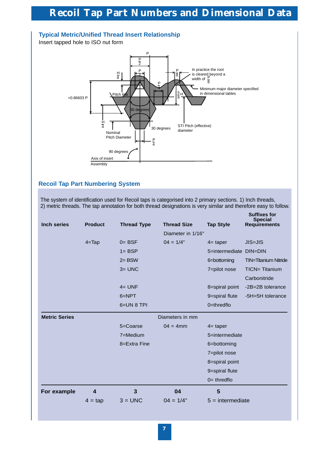

# **Recoil Tap Part Numbering System**

The system of identification used for Recoil taps is categorised into 2 primary sections. 1) Inch threads, 2) metric threads. The tap annotation for both thread designations is very similar and therefore easy to follow.

|                      |                         |                    |                    |                    | <b>Suffixes for</b><br><b>Special</b> |
|----------------------|-------------------------|--------------------|--------------------|--------------------|---------------------------------------|
| <b>Inch series</b>   | <b>Product</b>          | <b>Thread Type</b> | <b>Thread Size</b> | <b>Tap Style</b>   | <b>Requirements</b>                   |
|                      |                         |                    | Diameter in 1/16"  |                    |                                       |
|                      | $4 = \text{Tap}$        | $0 = BSF$          | $04 = 1/4"$        | $4=$ taper         | <b>JIS=JIS</b>                        |
|                      |                         | $1 = BSP$          |                    | 5=intermediate     | <b>DIN=DIN</b>                        |
|                      |                         | $2 = BSW$          |                    | 6=bottoming        | <b>TIN=Titanium Nitride</b>           |
|                      |                         | $3 =$ UNC          |                    | 7=pilot nose       | <b>TICN= Titanium</b>                 |
|                      |                         |                    |                    |                    | Carbonitride                          |
|                      |                         | $4 = UNF$          |                    | 8=spiral point     | -2B=2B tolerance                      |
|                      |                         | $6 = NPT$          |                    | 9=spiral flute     | -5H=5H tolerance                      |
|                      |                         | 6=UN 8 TPI         |                    | $0 =$ thredflo     |                                       |
| <b>Metric Series</b> |                         |                    | Diameters in mm    |                    |                                       |
|                      |                         | 5=Coarse           | $04 = 4$ mm        | $4=$ taper         |                                       |
|                      |                         | 7=Medium           |                    | 5=intermediate     |                                       |
|                      |                         | 8=Extra Fine       |                    | 6=bottoming        |                                       |
|                      |                         |                    |                    | 7=pilot nose       |                                       |
|                      |                         |                    |                    | 8=spiral point     |                                       |
|                      |                         |                    |                    | 9=spiral flute     |                                       |
|                      |                         |                    |                    | $0=$ thredflo      |                                       |
| For example          | $\overline{\mathbf{4}}$ | 3                  | 04                 | 5                  |                                       |
|                      | $4 = \text{tap}$        | $3 =$ UNC          | $04 = 1/4"$        | $5 =$ intermediate |                                       |
|                      |                         |                    |                    |                    |                                       |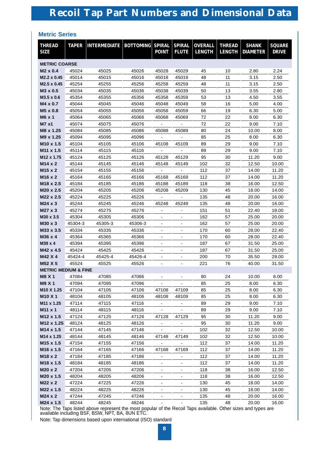# **Metric Series**

| <b>THREAD</b><br><b>SIZE</b>    | <b>TAPER</b>   | <b>INTERMEDIATE</b> | <b>BOTTOMING SPIRAL</b> | <b>POINT</b>   | <b>SPIRAL</b><br><b>FLUTE</b> | <b>OVERALL</b><br><b>LENGTH</b> | <b>THREAD</b><br><b>LENGTH</b> | <b>SHANK</b><br><b>DIAMETER</b> | <b>SQUARE</b><br><b>DRIVE</b> |  |
|---------------------------------|----------------|---------------------|-------------------------|----------------|-------------------------------|---------------------------------|--------------------------------|---------------------------------|-------------------------------|--|
| <b>METRIC COARSE</b>            |                |                     |                         |                |                               |                                 |                                |                                 |                               |  |
| M <sub>2</sub> x 0.4            | 45024          | 45025               | 45026                   | 45028          | 45029                         | 45                              | 10                             | 2.80                            | 2.24                          |  |
| M2.2 x 0.45                     | 45014          | 45015               | 45016                   | 45018          | 45019                         | 48                              | 11                             | 3.15                            | 2.50                          |  |
| M2.5 x 0.45                     | 45254          | 45255               | 45256                   | 45258          | 45259                         | 48                              | 11                             | 3.15                            | 2.50                          |  |
| M3 x 0.5                        | 45034          | 45035               | 45036                   | 45038          | 45039                         | 50                              | 13                             | 3.55                            | 2.80                          |  |
| M3.5 x 0.6                      | 45354          | 45355               | 45356                   | 45358          | 45359                         | 53                              | 13                             | 4.50                            | 3.55                          |  |
| M4 x 0.7                        | 45044          | 45045               | 45046                   | 45048          | 45049                         | 58                              | 16                             | 5.00                            | 4.00                          |  |
| M5 x 0.8                        | 45054          | 45055               | 45056                   | 45058          | 45059                         | 66                              | 19                             | 6.30                            | 5.00                          |  |
| M6 x 1                          | 45064          | 45065               | 45066                   | 45068          | 45069                         | 72                              | 22                             | 8.00                            | 6.30                          |  |
| M7 x1                           | 45074          | 45075               | 45076                   |                |                               | 72                              | 22                             | 9.00                            | 7.10                          |  |
| M8 x 1.25                       | 45084          | 45085               | 45086                   | 45088          | 45089                         | 80                              | 24                             | 10.00                           | 8.00                          |  |
| M9 x 1.25                       | 45094          | 45095               | 45096                   |                |                               | 85                              | 25                             | 8.00                            | 6.30                          |  |
| M <sub>10</sub> x 1.5           | 45104          | 45105               | 45106                   | 45108          | 45109                         | 89                              | 29                             | 9.00                            | 7.10                          |  |
| M11 x 1.5                       | 45114          | 45115               | 45116                   |                |                               | 89                              | 29                             | 9.00                            | 7.10                          |  |
| M12 x 1.75                      | 45124          | 45125               | 45126                   | 45128          | 45129                         | 95                              | 30                             | 11.20                           | 9.00                          |  |
| M14 x 2                         | 45144          | 45145               | 45146                   | 45148          | 45149                         | 102                             | 32                             | 12.50                           | 10.00                         |  |
| M <sub>15</sub> x 2             | 45154          | 45155               | 45156                   |                |                               | 112                             | 37                             | 14.00                           | 11.20                         |  |
| M16 x 2                         | 45164          | 45165               | 45166                   | 45168          | 45169                         | 112                             | 37                             | 14.00                           | 11.20                         |  |
| M18 x 2.5                       | 45184          | 45185               | 45186                   | 45188          | 45189                         | 118                             | 38                             | 16.00                           | 12.50                         |  |
| M20 x 2.5                       | 45204          | 45205               | 45206                   | 45208          | 45209                         | 130                             | 45                             | 18.00                           | 14.00                         |  |
| M22 x 2.5                       | 45224          | 45225               | 45226                   |                |                               | 135                             | 48                             | 20.00                           | 16.00                         |  |
| M24 x 3                         | 45244          | 45245               | 45246                   | 45248          | 45249                         | 135                             | 48                             | 20.00                           | 16.00                         |  |
| M27 x 3                         | 45274          | 45275               | 45276                   |                |                               | 151                             | 51                             | 22.40                           | 18.00                         |  |
| M30 x 3.5                       | 45304          | 45305               | 45306                   |                |                               | 162                             | 57                             | 25.00                           | 20.00                         |  |
| M30 x 3                         | 45304-3        | 45305-3             | 45306-3                 |                |                               | 162                             | 57                             | 25.00                           | 20.00                         |  |
| M33 x 3.5                       | 45334          | 45335               | 45336                   |                |                               | 170                             | 60                             | 28.00                           | 22.40                         |  |
| M36 x 4                         | 45364          | 45365               | 45366                   |                |                               | 170                             | 60                             | 28.00                           | 22.40                         |  |
| M39 x 4                         | 45394          | 45395               | 45396                   | $\overline{a}$ | $\overline{a}$                | 187                             | 67                             | 31.50                           | 25.00                         |  |
| M42 x 4.5                       | 45424          | 45425               | 45426                   | $\overline{a}$ | $\overline{a}$                | 187                             | 67                             | 31.50                           | 25.00                         |  |
| M42 X 4                         | 45424-4        | 45425-4             | 45426-4                 |                |                               | 200                             | 70                             | 35.50                           | 28.00                         |  |
| M52 X 5                         | 45524          | 45525               | 45526                   |                |                               | 221                             | 76                             | 40.00                           | 31.50                         |  |
| <b>METRIC MEDIUM &amp; FINE</b> |                |                     |                         |                |                               |                                 |                                |                                 |                               |  |
| M8 X 1                          | 47084          | 47085               | 47086                   |                |                               | 80<br>85                        | 24                             | 10.00                           | 8.00                          |  |
| M9 X 1                          | 47094          | 47095               | 47096                   |                | 47109                         |                                 | 25                             | 8.00                            | 6.30                          |  |
| M10 X 1.25<br>M10 X 1           | 47104<br>48104 | 47105<br>48105      | 47106<br>48106          | 47108<br>48108 | 48109                         | 85<br>85                        | 25<br>25                       | 8.00<br>8.00                    | 6.30<br>6.30                  |  |
| M11 x 1.25                      | 47114          | 47115               | 47116                   |                |                               | 89                              | 29                             | 9.00                            | 7.10                          |  |
| M11 x 1                         | 48114          | 48115               | 48116                   |                |                               | 89                              | 29                             | 9.00                            | 7.10                          |  |
| M12 x 1.5                       | 47124          | 47125               | 47126                   | 47128          | 47129                         | 95                              | 30                             | 11.20                           | 9.00                          |  |
| M12 x 1.25                      | 48124          | 48125               | 48126                   |                |                               | 95                              | 30                             | 11.20                           | 9.00                          |  |
| M14 x 1.5                       | 47144          | 47145               | 47146                   |                |                               | 102                             | 32                             | 12.50                           | 10.00                         |  |
| M14 x 1.25                      | 48144          | 48145               | 48146                   | 47148          | 47149                         | 102                             | 32                             | 12.50                           | 10.00                         |  |
| M <sub>15</sub> x 1.5           | 47154          | 47155               | 47156                   |                |                               | 112                             | 37                             | 14.00                           | 11.20                         |  |
| M <sub>16</sub> x 1.5           | 47164          | 47165               | 47166                   | 47168          | 47169                         | 112                             | 37                             | 14.00                           | 11.20                         |  |
| M18 x 2                         | 47184          | 47185               | 47186                   |                |                               | 112                             | 37                             | 14.00                           | 11.20                         |  |
| M <sub>18</sub> x 1.5           | 48184          | 48185               | 48186                   |                |                               | 112                             | 37                             | 14.00                           | 11.20                         |  |
| M20 x 2                         | 47204          | 47205               | 47206                   |                |                               | 118                             | 38                             | 16.00                           | 12.50                         |  |
| M20 x 1.5                       | 48204          | 48205               | 48206                   |                |                               | 118                             | 38                             | 16.00                           | 12.50                         |  |
| M22 x 2                         | 47224          | 47225               | 47226                   |                | $\blacksquare$                | 130                             | 45                             | 18.00                           | 14.00                         |  |
| M22 x 1.5                       | 48224          | 48225               | 48226                   |                |                               | 130                             | 45                             | 18.00                           | 14.00                         |  |
| M24 x 2                         | 47244          | 47245               | 47246                   |                |                               | 135                             | 48                             | 20.00                           | 16.00                         |  |
| M24 x 1.5                       | 48244          | 48245               | 48246                   |                |                               | 135                             | 48                             | 20.00                           | 16.00                         |  |

Note: The Taps listed above represent the most popular of the Recoil Taps available. Other sizes and types are available including BSF, BSW, NPT, BA, 8UN ETC.

Note: Tap dimensions based upon international (ISO) standard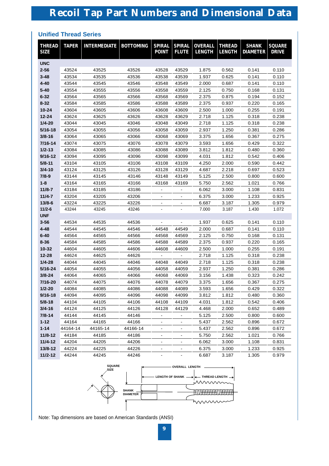# **Unified Thread Series**

| <b>THREAD</b><br><b>SIZE</b> | <b>TAPER</b> | <b>INTERMEDIATE</b> | <b>BOTTOMING</b> | <b>SPIRAL</b><br><b>POINT</b> | <b>SPIRAL</b><br><b>FLUTE</b> | <b>OVERALL</b><br><b>LENGTH</b> | <b>THREAD</b><br><b>LENGTH</b> | <b>SHANK</b><br><b>DIAMETER</b> | <b>SQUARE</b><br><b>DRIVE</b> |
|------------------------------|--------------|---------------------|------------------|-------------------------------|-------------------------------|---------------------------------|--------------------------------|---------------------------------|-------------------------------|
| <b>UNC</b>                   |              |                     |                  |                               |                               |                                 |                                |                                 |                               |
| $2 - 56$                     | 43524        | 43525               | 43526            | 43528                         | 43529                         | 1.875                           | 0.562                          | 0.141                           | 0.110                         |
| $3 - 48$                     | 43534        | 43535               | 43536            | 43538                         | 43539                         | 1.937                           | 0.625                          | 0.141                           | 0.110                         |
| 4-40                         | 43544        | 43545               | 43546            | 43548                         | 43549                         | 2.000                           | 0.687                          | 0.141                           | 0.110                         |
| $5 - 40$                     | 43554        | 43555               | 43556            | 43558                         | 43559                         | 2.125                           | 0.750                          | 0.168                           | 0.131                         |
| $6 - 32$                     | 43564        | 43565               | 43566            | 43568                         | 43569                         | 2.375                           | 0.875                          | 0.194                           | 0.152                         |
| $8 - 32$                     | 43584        | 43585               | 43586            | 43588                         | 43589                         | 2.375                           | 0.937                          | 0.220                           | 0.165                         |
| 10-24                        | 43604        | 43605               | 43606            | 43608                         | 43609                         | 2.500                           | 1.000                          | 0.255                           | 0.191                         |
| 12-24                        | 43624        | 43625               | 43626            | 43628                         | 43629                         | 2.718                           | 1.125                          | 0.318                           | 0.238                         |
| $1/4 - 20$                   | 43044        | 43045               | 43046            | 43048                         | 43049                         | 2.718                           | 1.125                          | 0.318                           | 0.238                         |
| 5/16-18                      | 43054        | 43055               | 43056            | 43058                         | 43059                         | 2.937                           | 1.250                          | 0.381                           | 0.286                         |
| $3/8 - 16$                   | 43064        | 43065               | 43066            | 43068                         | 43069                         | 3.375                           | 1.656                          | 0.367                           | 0.275                         |
| 7/16-14                      | 43074        | 43075               | 43076            | 43078                         | 43079                         | 3.593                           | 1.656                          | 0.429                           | 0.322                         |
| $1/2 - 13$                   | 43084        | 43085               | 43086            | 43088                         | 43089                         | 3.812                           | 1.812                          | 0.480                           | 0.360                         |
| $9/16 - 12$                  | 43094        | 43095               | 43096            | 43098                         | 43099                         | 4.031                           | 1.812                          | 0.542                           | 0.406                         |
| $5/8 - 11$                   | 43104        | 43105               | 43106            | 43108                         | 43109                         | 4.250                           | 2.000                          | 0.590                           | 0.442                         |
| $3/4 - 10$                   | 43124        | 43125               | 43126            | 43128                         | 43129                         | 4.687                           | 2.218                          | 0.697                           | 0.523                         |
| $7/8-9$                      | 43144        | 43145               | 43146            | 43148                         | 43149                         | 5.125                           | 2.500                          | 0.800                           | 0.600                         |
| $1 - 8$                      | 43164        | 43165               | 43166            | 43168                         | 43169                         | 5.750                           | 2.562                          | 1.021                           | 0.766                         |
| $11/8 - 7$                   | 43184        | 43185               | 43186            |                               |                               | 6.062                           | 3.000                          | 1.108                           | 0.831                         |
| $11/4 - 7$                   | 43204        | 43205               | 43206            |                               |                               | 6.375                           | 3.000                          | 1.233                           | 0.925                         |
| $13/8 - 6$                   | 43224        | 43225               | 43226            |                               |                               | 6.687                           | 3.187                          | 1.305                           | 0.979                         |
| $11/2 - 6$                   | 43244        | 43245               | 43246            | $\blacksquare$                | $\blacksquare$                | 7.000                           | 3.187                          | 1.430                           | 1.072                         |
| <b>UNF</b><br>$3 - 56$       | 44534        | 44535               | 44536            |                               |                               | 1.937                           | 0.625                          |                                 | 0.110                         |
| 4-48                         | 44544        | 44545               | 44546            | 44548                         | 44549                         | 2.000                           | 0.687                          | 0.141<br>0.141                  | 0.110                         |
| $6 - 40$                     | 44564        | 44565               | 44566            | 44568                         | 44569                         | 2.125                           | 0.750                          | 0.168                           | 0.131                         |
| $8 - 36$                     | 44584        | 44585               | 44586            | 44588                         | 44589                         | 2.375                           | 0.937                          | 0.220                           | 0.165                         |
| 10-32                        | 44604        | 44605               | 44606            | 44608                         | 44609                         | 2.500                           | 1.000                          | 0.255                           | 0.191                         |
| 12-28                        | 44624        | 44625               | 44626            |                               |                               | 2.718                           | 1.125                          | 0.318                           | 0.238                         |
| $1/4 - 28$                   | 44044        | 44045               | 44046            | 44048                         | 44049                         | 2.718                           | 1.125                          | 0.318                           | 0.238                         |
| 5/16-24                      | 44054        | 44055               | 44056            | 44058                         | 44059                         | 2.937                           | 1.250                          | 0.381                           | 0.286                         |
| $3/8 - 24$                   | 44064        | 44065               | 44066            | 44068                         | 44069                         | 3.156                           | 1.438                          | 0.323                           | 0.242                         |
| 7/16-20                      | 44074        | 44075               | 44076            | 44078                         | 44079                         | 3.375                           | 1.656                          | 0.367                           | 0.275                         |
| $1/2 - 20$                   | 44084        | 44085               | 44086            | 44088                         | 44089                         | 3.593                           | 1.656                          | 0.429                           | 0.322                         |
| $9/16 - 18$                  | 44094        | 44095               | 44096            | 44098                         | 44099                         | 3.812                           | 1.812                          | 0.480                           | 0.360                         |
| $5/8 - 18$                   | 44104        | 44105               | 44106            | 44108                         | 44109                         | 4.031                           | 1.812                          | 0.542                           | 0.406                         |
| $3/4 - 16$                   | 44124        | 44125               | 44126            | 44128                         | 44129                         | 4.468                           | 2.000                          | 0.652                           | 0.489                         |
| $7/8 - 14$                   | 44144        | 44145               | 44146            |                               |                               | 5.125                           | 2.500                          | 0.800                           | 0.600                         |
| $1 - 12$                     | 44164        | 44165               | 44166            |                               |                               | 5.437                           | 2.562                          | 0.896                           | 0.672                         |
| $1 - 14$                     | 44164-14     | 44165-14            | 44166-14         | $\blacksquare$                |                               | 5.437                           | 2.562                          | 0.896                           | 0.672                         |
| $11/8 - 12$                  | 44184        | 44185               | 44186            |                               |                               | 5.750                           | 2.562                          | 1.021                           | 0.766                         |
| $11/4 - 12$                  | 44204        | 44205               | 44206            | $\blacksquare$                |                               | 6.062                           | 3.000                          | 1.108                           | 0.831                         |
| 13/8-12                      | 44224        | 44225               | 44226            |                               |                               | 6.375                           | 3.000                          | 1.233                           | 0.925                         |
| $11/2 - 12$                  | 44244        | 44245               | 44246            |                               | $\blacksquare$                | 6.687                           | 3.187                          | 1.305                           | 0.979                         |



Note: Tap dimensions are based on American Standards (ANSI)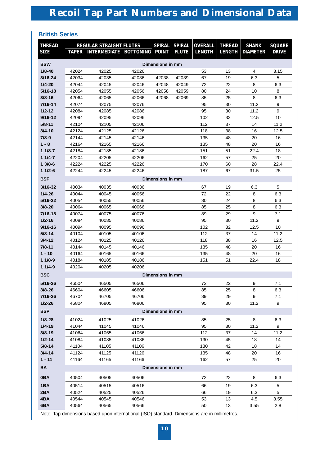# **British Series**

| <b>THREAD</b>            |       | <b>REGULAR STRAIGHT FLUTES</b>   |       | <b>SPIRAL</b>    | <b>SPIRAL</b>  | <b>OVERALL</b> | <b>THREAD</b> | <b>SHANK</b>    | <b>SQUARE</b> |  |  |  |
|--------------------------|-------|----------------------------------|-------|------------------|----------------|----------------|---------------|-----------------|---------------|--|--|--|
| <b>SIZE</b>              |       | TAPER   INTERMEDIATE   BOTTOMING |       | <b>POINT</b>     | <b>FLUTE</b>   | <b>LENGTH</b>  | <b>LENGTH</b> | <b>DIAMETER</b> | <b>DRIVE</b>  |  |  |  |
|                          |       |                                  |       |                  |                |                |               |                 |               |  |  |  |
| <b>BSW</b><br>$1/8 - 40$ | 42024 | 42025                            | 42026 | Dimensions in mm |                | 53             | 13            | 4               | 3.15          |  |  |  |
| $3/16 - 24$              | 42034 | 42035                            | 42036 | 6.3              | 5              |                |               |                 |               |  |  |  |
| $1/4 - 20$               | 42044 | 42045                            | 42046 | 42038<br>42048   | 42039<br>42049 | 67<br>72       | 19<br>22      | 8               | 6.3           |  |  |  |
| $5/16 - 18$              | 42054 | 42055                            | 42056 | 42058            | 42059          | 80             | 24            | 10              | 8             |  |  |  |
| $3/8 - 16$               | 42064 | 42065                            | 42066 | 42068            | 42069          | 85             | 25            | 8               | 6.3           |  |  |  |
| 7/16-14                  | 42074 | 42075                            | 42076 |                  |                | 95             | 30            | 11.2            | 9             |  |  |  |
| $1/2 - 12$               | 42084 | 42085                            | 42086 |                  |                | 95             | 30            | 11.2            | 9             |  |  |  |
| $9/16 - 12$              | 42094 | 42095                            | 42096 |                  |                | 102            | 32            | 12.5            | 10            |  |  |  |
| $5/8 - 11$               | 42104 | 42105                            | 42106 |                  |                | 112            | 37            | 14              | 11.2          |  |  |  |
| $3/4 - 10$               | 42124 | 42125                            | 42126 |                  |                | 118            | 38            | 16              | 12.5          |  |  |  |
| $7/8-9$                  | 42144 | 42145                            | 42146 |                  |                | 135            | 48            | 20              | 16            |  |  |  |
| $1 - 8$                  | 42164 | 42165                            | 42166 |                  |                | 135            | 48            | 20              | 16            |  |  |  |
| $11/8-7$                 | 42184 | 42185                            | 42186 |                  |                | 151            | 51            | 22.4            | 18            |  |  |  |
| $11/4 - 7$               | 42204 | 42205                            | 42206 |                  |                | 162            | 57            | 25              | 20            |  |  |  |
| $13/8-6$                 | 42224 | 42225                            | 42226 |                  |                | 170            | 60            | 28              | 22.4          |  |  |  |
| $11/2-6$                 | 42244 | 42245                            | 42246 |                  |                | 187            | 67            | 31.5            | 25            |  |  |  |
| <b>BSF</b>               |       |                                  |       | Dimensions in mm |                |                |               |                 |               |  |  |  |
| $3/16 - 32$              | 40034 | 40035                            | 40036 |                  |                | 67             | 19            | 6.3             | 5             |  |  |  |
| $1/4 - 26$               | 40044 | 40045                            | 40056 |                  |                | 72             | 22            | 8               | 6.3           |  |  |  |
| $5/16 - 22$              | 40054 | 40055                            | 40056 |                  |                | 80             | 24            | 8               | 6.3           |  |  |  |
| $3/8 - 20$               | 40064 | 40065                            | 40066 |                  |                | 85             | 25            | 8               | 6.3           |  |  |  |
| $7/16 - 18$              | 40074 | 40075                            | 40076 |                  |                | 89             | 29            | 9               | 7.1           |  |  |  |
| $1/2 - 16$               | 40084 | 40085                            | 40086 |                  |                | 95             | 30            | 11.2            | 9             |  |  |  |
| $9/16 - 16$              | 40094 | 40095                            | 40096 |                  |                | 102            | 32            | 12.5            | 10            |  |  |  |
| $5/8 - 14$               | 40104 | 40105                            | 40106 |                  |                | 112            | 37            | 14              | 11.2          |  |  |  |
| $3/4 - 12$               | 40124 | 40125                            | 40126 |                  |                | 118            | 38            | 16              | 12.5          |  |  |  |
| $7/8 - 11$               | 40144 | 40145                            | 40146 |                  |                | 135            | 48            | 20              | 16            |  |  |  |
| $1 - 10$                 | 40164 | 40165                            | 40166 |                  |                | 135            | 48            | 20              | 16            |  |  |  |
| $11/8-9$                 | 40184 | 40185                            | 40186 |                  |                | 151            | 51            | 22.4            | 18            |  |  |  |
| $11/4-9$                 | 40204 | 40205                            | 40206 |                  |                |                |               |                 |               |  |  |  |
| <b>BSC</b>               |       |                                  |       | Dimensions in mm |                |                |               |                 |               |  |  |  |
| $5/16 - 26$              | 46504 | 46505                            | 46506 |                  |                | 73             | 22            | 9               | 7.1           |  |  |  |
| $3/8 - 26$               | 46604 | 46605                            | 46606 |                  |                | 85             | 25            | 8               | 6.3           |  |  |  |
| 7/16-26                  | 46704 | 46705                            | 46706 |                  |                | 89             | 29            | 9               | 7.1           |  |  |  |
| $1/2 - 26$               | 46804 | 46805                            | 46806 |                  |                | 95             | 30            | 11.2            | 9             |  |  |  |
| <b>BSP</b>               |       |                                  |       | Dimensions in mm |                |                |               |                 |               |  |  |  |
| $1/8 - 28$               | 41024 | 41025                            | 41026 |                  |                | 85             | 25            | 8               | 6.3           |  |  |  |
| $1/4 - 19$               | 41044 | 41045                            | 41046 |                  |                | 95             | 30            | 11.2            | 9             |  |  |  |
| $3/8 - 19$               | 41064 | 41065                            | 41066 |                  |                | 112            | 37            | 14              | 11.2          |  |  |  |
| $1/2 - 14$               | 41084 | 41085                            | 41086 |                  |                | 130            | 45            | 18              | 14            |  |  |  |
| $5/8 - 14$               | 41104 | 41105                            | 41106 |                  |                | 130            | 42            | 18              | 14            |  |  |  |
| $3/4 - 14$               | 41124 | 41125                            | 41126 |                  |                | 135            | 48            | 20              | 16            |  |  |  |
| $1 - 11$                 | 41164 | 41165                            | 41166 |                  |                | 162            | 57            | 25              | 20            |  |  |  |
| <b>BA</b>                |       |                                  |       | Dimensions in mm |                |                |               |                 |               |  |  |  |
| 0BA                      | 40504 | 40505                            | 40506 |                  |                | 72             | 22            | 8               | 6.3           |  |  |  |
| 1BA                      | 40514 | 40515                            | 40516 |                  |                | 66             | 19            | 6.3             | 5             |  |  |  |
| 2BA                      | 40524 | 40525                            | 40526 |                  |                | 66             | 19            | 6.3             | 5             |  |  |  |
| 4BA                      | 40544 | 40545                            | 40546 |                  |                | 53             | 13            | 4.5             | 3.55<br>2.8   |  |  |  |
| 6BA                      | 40564 | 40565                            | 40566 |                  |                | 50             |               | 13<br>3.55      |               |  |  |  |

Note: Tap dimensions based upon international (ISO) standard. Dimensions are in millimetres.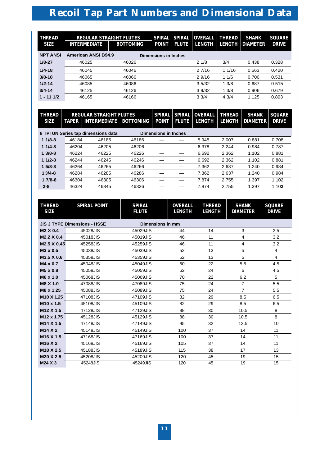| <b>THREAD</b><br><b>SIZE</b> | <b>REGULAR STRAIGHT FLUTES</b><br><b>INTERMEDIATE</b> | <b>BOTTOMING</b> | <b>SPIRAL</b><br><b>POINT</b> | <b>SPIRAL</b><br><b>FLUTE</b> | <b>OVERALL</b><br><b>LENGTH</b> | <b>THREAD</b><br><b>LENGTH</b> | <b>SHANK</b><br><b>DIAMETER</b> | <b>SQUARE</b><br><b>DRIVE</b> |
|------------------------------|-------------------------------------------------------|------------------|-------------------------------|-------------------------------|---------------------------------|--------------------------------|---------------------------------|-------------------------------|
| <b>NPT ANSI</b>              | <b>American ANSI B94.9</b>                            |                  | <b>Dimensions in Inches</b>   |                               |                                 |                                |                                 |                               |
| $1/8 - 27$                   | 46025                                                 | 46026            |                               |                               | 21/8                            | 3/4                            | 0.438                           | 0.328                         |
| $1/4 - 18$                   | 46045                                                 | 46046            |                               |                               | 27/16                           | 11/16                          | 0.563                           | 0.420                         |
| $3/8 - 18$                   | 46065                                                 | 46066            |                               |                               | 29/16                           | 11/6                           | 0.700                           | 0.531                         |
| $1/2 - 14$                   | 46085                                                 | 46086            |                               |                               | 3.5/32                          | 13/8                           | 0.687                           | 0515                          |
| $3/4 - 14$                   | 46125                                                 | 46126            |                               |                               | 39/32                           | 13/8                           | 0.906                           | 0.679                         |
| $1 - 111/2$                  | 46165                                                 | 46166            |                               |                               | $3 \frac{3}{4}$                 | 4.3/4                          | 1.125                           | 0.893                         |

| THREAD      |              | <b>REGULAR STRAIGHT FLUTES</b>      |                  | <b>SPIRAL</b>               | <b>SPIRAL</b> | <b>OVERALL</b> | <b>THREAD</b> | <b>SHANK</b>    | <b>SQUARE</b> |
|-------------|--------------|-------------------------------------|------------------|-----------------------------|---------------|----------------|---------------|-----------------|---------------|
| <b>SIZE</b> | <b>TAPER</b> | <b>INTERMEDIATE</b>                 | <b>BOTTOMING</b> | <b>POINT</b>                | <b>FLUTE</b>  | <b>LENGTH</b>  | <b>LENGTH</b> | <b>DIAMETER</b> | <b>DRIVE</b>  |
|             |              | 8 TPI UN Series tap dimensions data |                  | <b>Dimensions in Inches</b> |               |                |               |                 |               |
| $11/8-8$    | 46184        | 46185                               | 46186            |                             |               | 5.945          | 2.007         | 0.881           | 0.708         |
| $11/4-8$    | 46204        | 46205                               | 46206            |                             |               | 6.378          | 2.244         | 0.984           | 0.787         |
| $13/8-8$    | 46224        | 46225                               | 46226            |                             |               | 6.692          | 2.362         | 1.102           | 0.881         |
| $11/2-8$    | 46244        | 46245                               | 46246            |                             |               | 6.692          | 2.362         | 1.102           | 0.881         |
| $15/8-8$    | 46264        | 46265                               | 46266            |                             |               | 7.362          | 2.637         | 1.240           | 0.984         |
| $13/4 - 8$  | 46284        | 46285                               | 46286            |                             |               | 7.362          | 2.637         | 1.240           | 0.984         |
| $17/8-8$    | 46304        | 46305                               | 46306            |                             |               | 7.874          | 2.755         | 1.397           | 1.102         |
| $2 - 8$     | 46324        | 46345                               | 46326            |                             |               | 7.874          | 2.755         | 1.397           | 1.102         |

| <b>THREAD</b><br><b>SIZE</b>     | <b>SPIRAL POINT</b>                 | <b>SPIRAL</b><br><b>FLUTE</b> | <b>OVERALL</b><br><b>LENGTH</b> | <b>THREAD</b><br><b>LENGTH</b> | <b>SHANK</b><br><b>DIAMETER</b> | <b>SQUARE</b><br><b>DRIVE</b> |
|----------------------------------|-------------------------------------|-------------------------------|---------------------------------|--------------------------------|---------------------------------|-------------------------------|
|                                  | <b>JIS J TYPE Dimensions - HSSE</b> | Dimensions in mm              |                                 |                                |                                 |                               |
| M <sub>2</sub> X 0.4             | 45028JIS                            | 45029JIS                      | 44                              | 14                             | 3                               | 2.5                           |
| M2.2 X 0.4                       | 45018JIS                            | 45019JIS                      | 46                              | 11                             | 4                               | 3.2                           |
| M <sub>2.5</sub> X 0.45          | 45258JIS                            | 45259JIS                      | 46                              | 11                             | $\overline{4}$                  | 3.2                           |
| M3 x 0.5                         | 45038JIS                            | 45039JIS                      | 52                              | 13                             | 5                               | 4                             |
| M3.5 X 0.6                       | 45358JIS                            | 45359JIS                      | 52                              | 13                             | 5                               | 4                             |
| $M4 \times 0.7$                  | 45048JIS                            | 45049JIS                      | 60                              | 22                             | 5.5                             | 4.5                           |
| M <sub>5</sub> x 0.8             | 45058JIS                            | 45059JIS                      | 62                              | 24                             | 6                               | 4.5                           |
| M6 x 1.0                         | 45068JIS                            | 45069JIS                      | 70                              | 22                             | 6.2                             | 5                             |
| M8 X 1.0                         | 47088JIS                            | 47089JIS                      | 75                              | 24                             | $\overline{7}$                  | 5.5                           |
| M8 x 1.25                        | 45088JIS                            | 45089JIS                      | 75                              | 24                             | $\overline{7}$                  | 5.5                           |
| M <sub>10</sub> X 1.25           | 47108JIS                            | 47109JIS                      | 82                              | 29                             | 8.5                             | 6.5                           |
| M <sub>10</sub> x 1.5            | 45108JIS                            | 45109JIS                      | 82                              | 29                             | 8.5                             | 6.5                           |
| M <sub>12</sub> X <sub>1.5</sub> | 47128JIS                            | 47129JIS                      | 88                              | 30                             | 10.5                            | 8                             |
| M <sub>12</sub> x 1.75           | 45128JIS                            | 45129JIS                      | 88                              | 30                             | 10.5                            | 8                             |
| M <sub>14</sub> X <sub>1.5</sub> | 47148JIS                            | 47149JIS                      | 95                              | 32                             | 12.5                            | 10                            |
| M <sub>14</sub> X <sub>2</sub>   | 45148JIS                            | 45149JIS                      | 100                             | 37                             | 14                              | 11                            |
| M <sub>16</sub> X <sub>1.5</sub> | 47168JIS                            | 47169JIS                      | 100                             | 37                             | 14                              | 11                            |
| M <sub>16</sub> X <sub>2</sub>   | 45168JIS                            | 45169JIS                      | 105                             | 37                             | 14                              | 11                            |
| M18 X 2.5                        | 45188JIS                            | 45189JIS                      | 115                             | 38                             | 17                              | 13                            |
| M <sub>20</sub> X 2.5            | 45208JIS                            | 45209JIS                      | 120                             | 45                             | 19                              | 15                            |
| M24 X 3                          | 45248JIS                            | 45249JIS                      | 120                             | 45                             | 19                              | 15                            |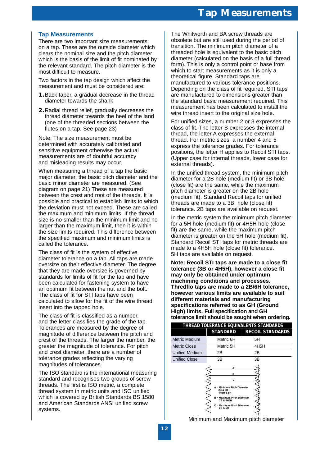# **Tap Measurements**

There are two important size measurements on a tap. These are the outside diameter which clears the nominal size and the pitch diameter which is the basis of the limit of fit nominated by the relevant standard. The pitch diameter is the most difficult to measure.

Two factors in the tap design which affect the measurement and must be considered are:

- **1.**Back taper, a gradual decrease in the thread diameter towards the shank
- **2.**Radial thread relief, gradually decreases the thread diameter towards the heel of the land (one of the threaded sections between the flutes on a tap. See page 23)

Note: The size measurement must be determined with accurately calibrated and sensitive equipment otherwise the actual measurements are of doubtful accuracy and misleading results may occur.

When measuring a thread of a tap the basic major diameter, the basic pitch diameter and the basic minor diameter are measured. (See diagram on page 21) These are measured between the crest and root of the threads. It is possible and practical to establish limits to which the deviation must not exceed. These are called the maximum and minimum limits. If the thread size is no smaller than the minimum limit and no larger than the maximum limit, then it is within the size limits required. This difference between the specified maximum and minimum limits is called the tolerance.

The class of fit is the system of effective diameter tolerance on a tap. All taps are made oversize on their effective diameter. The degree that they are made oversize is governed by standards for limits of fit for the tap and have been calculated for fastening system to have an optimum fit between the nut and the bolt. The class of fit for STI taps have been calculated to allow for the fit of the wire thread insert into the tapped hole.

The class of fit is classified as a number, and the letter classifies the grade of the tap. Tolerances are measured by the degree of magnitude of difference between the pitch and crest of the threads. The larger the number, the greater the magnitude of tolerance. For pitch and crest diameter, there are a number of tolerance grades reflecting the varying magnitudes of tolerances.

The ISO standard is the international measuring standard and recognises two groups of screw threads. The first is ISO metric, a complete thread system in metric units and ISO unified which is covered by British Standards BS 1580 and American Standards ANSI unified screw systems.

The Whitworth and BA screw threads are obsolete but are still used during the period of transition. The minimum pitch diameter of a threaded hole is equivalent to the basic pitch diameter (calculated on the basis of a full thread form). This is only a control point or base from which to start measurements as it is only a theoretical figure. Standard taps are manufactured to various tolerance positions. Depending on the class of fit required, STI taps are manufactured to dimensions greater than the standard basic measurement required. This measurement has been calculated to install the wire thread insert to the original size hole.

For unified sizes, a number 2 or 3 expresses the class of fit. The letter B expresses the internal thread, the letter A expresses the external thread. For metric sizes, a number 4 and 5 express the tolerance grades. For tolerance positions, the letter H applies to Recoil STI taps. (Upper case for internal threads, lower case for external threads).

In the unified thread system, the minimum pitch diameter for a 2B hole (medium fit) or 3B hole (close fit) are the same, while the maximum pitch diameter is greater on the 2B hole (medium fit). Standard Recoil taps for unified threads are made to a 3B hole (close fit) tolerance. 2B taps are available on request.

In the metric system the minimum pitch diameter for a 5H hole (medium fit) or 4H5H hole (close fit) are the same, while the maximum pitch diameter is greater on the 5H hole (medium fit). Standard Recoil STI taps for metric threads are made to a 4H5H hole (close fit) tolerance. 5H taps are available on request.

**Note: Recoil STI taps are made to a close fit tolerance (3B or 4H5H), however a close fit may only be obtained under optimum machining conditions and processes. Thredflo taps are made to a 2B/6H tolerance, however various limits are available to suit different materials and manufacturing specifications referred to as GH (Ground High) limits. Full specification and GH tolerance limit should be sought when ordering.**

|                       |                                                                                                                                                  | THREAD TOLERANCE EQUIVALENTS STANDARDS |
|-----------------------|--------------------------------------------------------------------------------------------------------------------------------------------------|----------------------------------------|
|                       | <b>STANDARD</b>                                                                                                                                  | <b>RECOIL STANDARDS</b>                |
| Metric Medium         | Metric 6H                                                                                                                                        | 5Н                                     |
| Metric Close          | Metric 5H                                                                                                                                        | 4H5H                                   |
| <b>Unified Medium</b> | 2Β                                                                                                                                               | 2Β                                     |
| <b>Unified Close</b>  | 3B                                                                                                                                               | 3B                                     |
|                       | R<br>c<br>A = Minimum Pitch Diameter<br>2B & 3B<br>4H5H & 5H<br>B = Maximum Pitch Diameter<br>3B & 4H5H<br>C = Maximum Pitch Diameter<br>2B & 5H |                                        |

Minimum and Maximum pitch diameter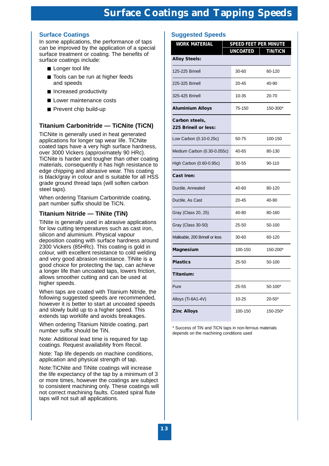# **Surface Coatings**

In some applications, the performance of taps can be improved by the application of a special surface treatment or coating. The benefits of surface coatings include:

- Longer tool life
- Tools can be run at higher feeds and speeds
- Increased productivity
- Lower maintenance costs
- Prevent chip build-up

# **Titanium Carbonitride — TiCNite (TiCN)**

TiCNite is generally used in heat generated applications for longer tap wear life. TiCNite coated taps have a very high surface hardness, over 3000 Vickers (approximately 90 HRc). TiCNite is harder and tougher than other coating materials, consequently it has high resistance to edge chipping and abrasive wear. This coating is black/gray in colour and is suitable for all HSS grade ground thread taps (will soften carbon steel taps).

When ordering Titanium Carbonitride coating, part number suffix should be TiCN.

# **Titanium Nitride — TiNite (TiN)**

TiNite is generally used in abrasive applications for low cutting temperatures such as cast iron, silicon and aluminium. Physical vapour deposition coating with surface hardness around 2300 Vickers (85HRc). This coating is gold in colour, with excellent resistance to cold welding and very good abrasion resistance. TiNite is a good choice for protecting the tap, can achieve a longer life than uncoated taps, lowers friction, allows smoother cutting and can be used at higher speeds.

When taps are coated with Titanium Nitride, the following suggested speeds are recommended, however it is better to start at uncoated speeds and slowly build up to a higher speed. This extends tap worklife and avoids breakages.

When ordering Titanium Nitride coating, part number suffix should be TiN.

Note: Additional lead time is required for tap coatings. Request availability from Recoil.

Note: Tap life depends on machine conditions, application and physical strength of tap.

Note:TiCNite and TiNite coatings will increase the life expectancy of the tap by a minimum of 3 or more times, however the coatings are subject to consistent machining only. These coatings will not correct machining faults. Coated spiral flute taps will not suit all applications.

# **Suggested Speeds**

| <b>WORK MATERIAL</b>                   |                 | <b>SPEED FEET PER MINUTE</b> |
|----------------------------------------|-----------------|------------------------------|
| <b>Alloy Steels:</b>                   | <b>UNCOATED</b> | <b>TIN/TICN</b>              |
| 125-225 Brinell                        | 30-60           | 60-120                       |
| 225-325 Brinell                        | 20-45           | 40-90                        |
| 325-425 Brinell                        | 10-35           | 20-70                        |
| <b>Aluminium Alloys</b>                | 75-150          | 150-300*                     |
| Carbon steels,<br>225 Brinell or less: |                 |                              |
| Low Carbon (0.10-0.25c)                | 50-75           | 100-150                      |
| Medium Carbon (0.30-0.055c)            | 40-65           | 80-130                       |
| High Carbon (0.60-0.95c)               | 30-55           | 90-110                       |
| <b>Cast Iron:</b>                      |                 |                              |
| Ductile, Annealed                      | 40-60           | 80-120                       |
| Ductile, As Cast                       | $20 - 45$       | 40-90                        |
| Gray (Class 20, 25)                    | 40-80           | 80-160                       |
| Gray (Class 30-50)                     | 25-50           | 50-100                       |
| Malleable, 200 Brinell or less         | 30-60           | 60-120                       |
| Magnesium                              | 100-150         | 150-200*                     |
| <b>Plastics</b>                        | 25-50           | 50-100                       |
| Titanium:                              |                 |                              |
| Pure                                   | 25-55           | 50-100*                      |
| Alloys (Ti-6A1-4V)                     | 10-25           | $20 - 50*$                   |
| <b>Zinc Alloys</b>                     | 100-150         | 150-250*                     |

\* Success of TiN and TiCN taps in non-ferrous materials depends on the machining conditions used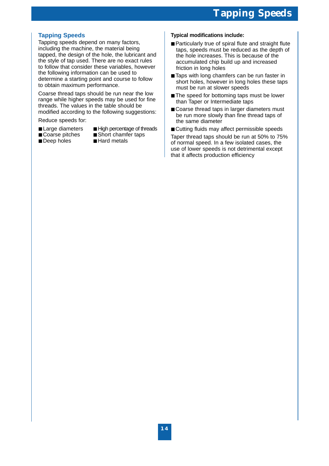# **Tapping Speeds**

Tapping speeds depend on many factors, including the machine, the material being tapped, the design of the hole, the lubricant and the style of tap used. There are no exact rules to follow that consider these variables, however the following information can be used to determine a starting point and course to follow to obtain maximum performance.

Coarse thread taps should be run near the low range while higher speeds may be used for fine threads. The values in the table should be modified according to the following suggestions:

Reduce speeds for:

- 
- Large diameters High percentage of threads
	-
- Deep holes
- Coarse pitches Short chamfer taps<br>■ Deep holes Hard metals
	-

## **Typical modifications include:**

- Particularly true of spiral flute and straight flute taps, speeds must be reduced as the depth of the hole increases. This is because of the accumulated chip build up and increased friction in long holes
- Taps with long chamfers can be run faster in short holes, however in long holes these taps must be run at slower speeds
- The speed for bottoming taps must be lower than Taper or Intermediate taps
- Coarse thread taps in larger diameters must be run more slowly than fine thread taps of the same diameter
- Cutting fluids may affect permissible speeds

Taper thread taps should be run at 50% to 75% of normal speed. In a few isolated cases, the use of lower speeds is not detrimental except that it affects production efficiency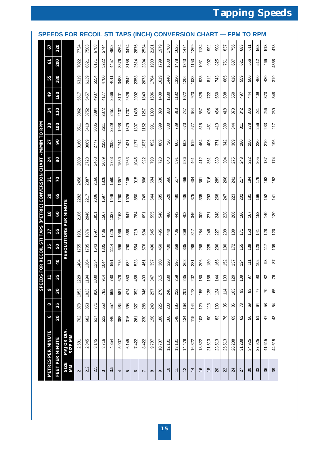# **Tapping Speeds**

|                                                          |                          |                 | <b>SPEEDS FOR RECOIL</b> |                   |       |                 |       | STI   |       | TAPS    |          | (INCH)         |          | <b>CONVE</b> |                |        | <b>RSION</b>  |                | С                  | ΗA             | <b>RT</b>     |                 | <b>FPM</b>     |                 | ΤO         | <b>RPM</b> |                 |        |
|----------------------------------------------------------|--------------------------|-----------------|--------------------------|-------------------|-------|-----------------|-------|-------|-------|---------|----------|----------------|----------|--------------|----------------|--------|---------------|----------------|--------------------|----------------|---------------|-----------------|----------------|-----------------|------------|------------|-----------------|--------|
|                                                          | 67                       | 220             |                          | 7724              | 7503  | 6788            | 5744  | 4903  | 4264  | 3474    | 2876     | 2534           | 2181     | 1979         | 1760           | 1625   | 1474          | 1269           | 1134               | 992            | 908           | 837             | 756            | 683             | 611        | 563        | 513             | 478    |
|                                                          | 61                       | 200             |                          | 7022              | 6821  | 6171            | 5222  | 4457  | 3876  | 3158    | 2614     | 2304           | 1983     | 1799         | 1600           | 1478   | 1340          | 1153           | 1031               | 902            | 825           | 761             | 687            | 621             | 556        | 512        | 466             | 4358   |
|                                                          | 55                       | 180             |                          | 6319              | 6139  | 5554            | 4700  | 4011  | 3488  | 2842    | 2353     | 2073           | 1784     | 1619         | 1440           | 1330   | 1206          | 1038           | 928                | 812            | 743           | 685             | 618            | 559             | 500        | 460        | 420             | 319    |
|                                                          | 49                       | 160             |                          | 5617              | 5457  | 4937            | 4177  | 3566  | 3101  | 2526    | 2092     | 1843           | 1586     | 1439         | 1280           | 1182   | 1072          | 923            | 825                | 722            | 660           | 608             | 550            | 497             | 44         | 409        | 373             | 348    |
|                                                          | 34                       | 110             |                          | 3862              | 3752  | 3394            | 2872  | 2451  | 2132  | 1737    | 1438     | 1267           | 1090     | 898          | 880            | 813    | 737           | 634            | 567                | 496            | 454           | 418             | 378            | 342             | 306        | 281        | 256             | 239    |
|                                                          | 30                       | 100             |                          |                   | 3410  | 3085            |       | 2229  | 1938  | 1579    |          |                | 991      | 899          | 800            | 739    | 670           | 577            | 515                | 451            | 413           | 380             | 344            | $\frac{311}{2}$ | 278        | 256        | 233             | 217    |
| <b>TO RPM</b>                                            |                          |                 |                          | 3511              |       |                 | 2611  |       |       |         | 1307     | 1152           |          |              |                |        |               |                |                    |                |               |                 |                |                 |            |            |                 |        |
|                                                          | 27                       | 90              |                          | 3160              | 3069  | 2777            | 2350  | 2006  | 1744  | 1421    | 1177     | 1037           | 892      | 809          | 720            | 665    | 603           | 519            | 464                | 406            | 371           | 342             | 309            | 280             | 250        | 230        | 210             | 196    |
|                                                          | 24                       | 80              |                          | 2809              | 2728  | 2468            | 2089  | 1783  | 1550  | 1263    | 1046     | 922            | 793      | 720          | 640            | 591    | 536           | 461            | 412                | 361            | 330           | 304             | 275            | 248             | 222        | 205        | $\frac{187}{2}$ | 174    |
|                                                          | 21                       | 70              |                          | 2458              | 2387  | 2160            | 1828  | 1560  | 1357  | 1105    | 915      | 806            | 694      | 630          | 560            | 517    | 469           | 404            | 361                | 316            | 289           | 266             | 241            | 217             | 194        | 179        | 163             | 152    |
|                                                          | 20                       | 65              |                          | 2282              | 2217  | 2006            | 1697  | 1449  | 1260  | 1026    | 850      | 749            | 644      | 585          | 520            | 480    | 436           | 375            | 335                | 293            | 268           | 247             | 223            | 202             | 181        | 166        | 152             | 141    |
| DS FOR RECOIL STI TAPS (METRIC) CONVERSION CHART - M/MIN | 18                       | 60              | PER MINUTE               | 2106              | 2046  | 1851            | 1567  | 1337  | 1163  | 947     | 784      | 691            | 595      | 540          | 480            | 443    | 402           | 346            | 309                | 271            | 248           | 228             | 206            | 186             | 167        | 153        | 140             | 130    |
|                                                          | 17                       | 55              |                          | 931               | 1876  | 1697            | 1436  | 1226  | 1066  | 868     | 719      | 634            | 545      | 495          | 440            | 406    | 369           | 317            | 284                | 248            | 227           | 209             | 189            | 171             | 153        | 141        | 128             | 120    |
|                                                          | 15                       | 50              | <b>REVOLUTIONS</b>       | 1755              | 1705  | 1543            | 1305  | 1114  | 696   | 790     | 654      | 576            | 496      | 450          | 400            | 369    | 335           | 288            | 258                | 225            | 206           | $\frac{190}{2}$ | 172            | 155             | 139        | 128        | 117             | 109    |
|                                                          | 12                       | 40              |                          | 1404              | 1364  | 1234            | 1044  | 891   | 775   | 632     | 523      | 461            | 397      | 360          | 320            | 296    | 268           | 231            | 206                | 180            | 165           | 152             | 137            | 124             | $\ddot{=}$ | 102        | 3               | 28     |
|                                                          | 11                       | 35              |                          | 29<br>$\tilde{c}$ | 34    | 80<br>S         | 914   | 80    | 678   | 53<br>د | \$ĝ<br>ч | g              | 347      | 315          | 80             | 959    | 235           | 202            | $\pmb{\mathbb{S}}$ | $58\,$         | $\frac{4}{3}$ | 33              | $\overline{c}$ | 8               | 5          | 8          | 82              | 76     |
| <b>IEED</b>                                              | ę                        | 30              |                          | 1053              | 1023  | 926             | 783   | 669   | 581   | 474     | 392      | 346            | 297      | 270          | 240            | 222    | <b>201</b>    | 173            | 155                | 135            | 124           | 114             | 103            | 3               | 83         | 77         | 70              | 89     |
|                                                          | 8                        | 25              |                          | 878               | 853   | $\overline{71}$ | 653   | 557   | 484   | 395     | 327      | 288            | 248      | 225          | 200            | 185    | 168           | $\frac{14}{3}$ | 129                | 113            | 103           | 95              | 86             | $\overline{78}$ | ගි         | 84         | 58              | 54     |
|                                                          | ç                        | 20              |                          | 702               | 682   | 617             | 522   | 446   | 388   | 316     | 261      | 230            | 198      | 180          | 160            | 148    | 134           | 115            | 103                | 8              | 83            | 76              | 89             | 29              | 99         | 5          | 47              | $43$   |
|                                                          | <b>METRES PER MINUTE</b> | FEET PER MINUTE | MAJOR DIA.<br>SIZE MIN   | 2.581             | 2.845 | 3.145           | 3.716 | 4.354 | 5.007 | 6.145   | 7.422    | 8.422          | 9.787    | 10.787       | 12.131         | 13.131 | 14.478        | 16.822         | 18.822             | 21.513         | 23.513        | 25.513          | 28.238         | 31.238          | 34.925     | 37.925     | 41.615          | 44.615 |
|                                                          |                          |                 | SIZE<br>MМ               | $\sim$            | 2.2   | 2.5             | S     | 3.5   | 4     | 5       | $\circ$  | $\overline{ }$ | $\infty$ | ၜ            | $\overline{0}$ | $\div$ | $\frac{2}{3}$ | $\overline{4}$ | $\frac{6}{5}$      | $\frac{8}{16}$ | 20            | 22              | 24             | 27              | 30         | 33         | 36              | 39     |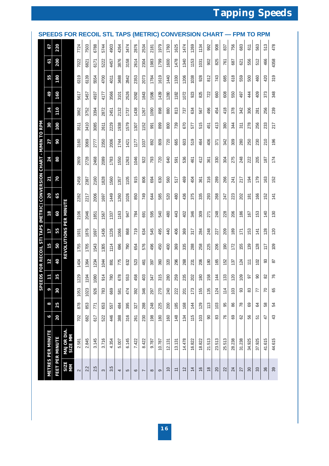# **Tapping Speeds**

|                                                                 | <b>SPEEDS</b>            |                        | <b>FOR RECOIL</b>             |                              |         |         |                       |           |       | <b>APS</b> | (M      |                | RIC)     |        | <b>CONVE</b>   |          |        |                |                    |               |          |                            |                 | PМ              | TO              |        | <b>RPM</b>     |        |
|-----------------------------------------------------------------|--------------------------|------------------------|-------------------------------|------------------------------|---------|---------|-----------------------|-----------|-------|------------|---------|----------------|----------|--------|----------------|----------|--------|----------------|--------------------|---------------|----------|----------------------------|-----------------|-----------------|-----------------|--------|----------------|--------|
|                                                                 | 67                       | 220                    |                               | 7724                         | 7503    | 6788    | 5744                  | 4903      | 4264  | 3474       | 2876    | 2534           | 2181     | 1979   | 1760           | 1625     | 1474   | 1269           | 1134               | 992           | 908      | 837                        | 756             | 683             | 611             | 563    | 513            | 478    |
|                                                                 | 61                       | 200                    |                               | 7022                         | 682     | 6171    | 5222                  | 4457      | 3876  | 3158       | 2614    | 2304           | 1983     | 1799   | 1600           | 1478     | 1340   | 1153           | 1031               | 902           | 825      | 761                        | 687             | 621             | 556             | 512    | 466            | 4358   |
|                                                                 | 55                       | 180                    |                               | 6319                         | 6139    | 5554    | 4700                  | 4011      | 3488  | 2842       | 2353    | 2073           | 1784     | 1619   | 1440           | 1330     | 1206   | 1038           | 928                | 812           | 743      | 685                        | 618             | 559             | 500             | 460    | 420            | 319    |
|                                                                 | 49                       | 160                    |                               | 5617                         | 5457    | 4937    | 4177                  | 3566      | 3101  | 2526       | 2092    | 1843           | 1586     | 1439   | 1280           | 1182     | 1072   | 923            | 825                | 722           | 660      | 608                        | 550             | 497             | 44              | 409    | 373            | 348    |
|                                                                 | 34                       | 110                    |                               | 3862                         | 3752    | 3394    | 2872                  | 2451      | 2132  | 1737       | 1438    | 1267           | 1090     | 898    | 880            | 813      | 737    | 634            | 567                | 496           | 454      | 418                        | 378             | 342             | 306             | 281    | 256            | 239    |
|                                                                 | 30                       | 100                    |                               | 3511                         | 3410    | 3085    | 2611                  | 2229      | 1938  | 1579       | 1307    | 1152           | 991      | 899    | 800            | 739      | 670    | 577            | 515                | 451           | 413      | 380                        | 344             | 311             | 278             | 256    | 233            | 217    |
|                                                                 | 27                       | 90                     |                               | 3160                         | 3069    | 2777    | 2350                  | 2006      | 1744  | 1421       | 177     | 1037           | 892      | 809    | 720            | 665      | 603    | 519            | 464                | 406           | 371      | 342                        | 309             | 280             | 250             | 230    | 210            | 196    |
|                                                                 | 24                       | 80                     |                               | 2809                         |         |         |                       |           | 1550  |            |         | 922            | 793      | 720    | 640            | 591      | 536    | 461            | 412                | 361           | 330      | 304                        | 275             | 248             | 222             | 205    | 187            | 174    |
|                                                                 |                          |                        |                               |                              | 2728    | 2468    | 2089                  | 1783      |       | 1263       | 1046    |                |          |        |                |          |        |                |                    |               |          |                            |                 |                 |                 |        |                |        |
|                                                                 | 21                       | 70                     |                               | 2458                         | 2387    | 2160    | 1828                  | 1560      | 1357  | 1105       | 915     | 806            | 694      | 630    | 560            | 517      | 469    | 404            | 361                | 316           | 289      | 266                        | 241             | 217             | 194             | 179    | 163            | 152    |
|                                                                 | 20                       | 65                     |                               | 2282                         | 2217    | 2006    | 1697                  | 1449      | 1260  | 1026       | 850     | 749            | 644      | 585    | 520            | 480      | 436    | 375            | 335                | 293           | 268      | 247                        | 223             | 202             | $\frac{18}{16}$ | 166    | 152            | 141    |
| DS FOR RECOIL STI TAPS (METRIC) CONVERSION CHART - M/MIN TO RPM | 18                       | 60                     | <b>REVOLUTIONS PER MINUTE</b> | 2106                         | 2046    | 1851    | 1567                  | 1337      | 1163  | 947        | 784     | 691            | 595      | 540    | 480            | 443      | 402    | 346            | 309                | 271           | 248      | 228                        | 206             | 186             | 167             | 153    | 140            | 130    |
|                                                                 | 17                       | 55                     |                               | 1931                         | 1876    | 1697    | 1436                  | 1226      | 1066  | 868        | 719     | 634            | 545      | 495    | 440            | 406      | 369    | 317            | 284                | 248           | 227      | 209                        | 189             | 171             | 153             | 141    | 128            | 120    |
|                                                                 | 15                       | 50                     |                               | 1755                         | 1705    | 1543    | 1305                  | 1114      | 696   | 790        | 654     | 576            | 496      | 450    | 400            | 369      | 335    | 288            | 258                | 225           | 206      | 190                        | 172             | 155             | 139             | 128    | 117            | 109    |
|                                                                 | 12                       | 40                     |                               | 1404                         | 1364    | 1234    | 1044                  | 891       | 775   | 632        | 523     | 461            | 397      | 360    | 320            | 296      | 268    | 231            | 206                | 180           | 165      | 152                        | $\frac{137}{2}$ | 124             | $\tilde{t}$     | 102    | SS             | 28     |
|                                                                 | 11                       | 35                     |                               | $\overline{29}$<br>$\approx$ | रू<br>Ξ | 80<br>ă | $\frac{4}{5}$<br>တ    | 80        | 678   | 53<br>ഥ    | 89<br>4 | පු<br>4        | 47       | 315    | $80$           | 59       | 95     | $\approx$<br>N | $\pmb{\mathbb{S}}$ | 38            | 4        | $\boldsymbol{\mathcal{Z}}$ | $\overline{c}$  | 8               | 5               | 8      | 82             | 76     |
| <b>SPEE</b>                                                     | ç                        | 30                     |                               | 1053                         | 1023    | 926     | 783                   | 669       | 581   | 474        | 392     | 346            | 297      | 270    | 240            | 222      | 201    | 173            | 155                | 135           | 124      | 114                        | 103             | 93              | 83              | 77     | $\overline{C}$ | 65     |
|                                                                 | 8                        | 25                     |                               | 878                          | 853     | 771     | 653                   | 557       | 484   | 395        | 327     | 288            | 248      | 225    | 200            | 185      | 168    | 144            | 129                | 113           | 103      | 95                         | 86              | $\overline{78}$ | 69              | 64     | 58             | 54     |
|                                                                 | ą                        | 20                     |                               | 702                          | 682     | 617     | 522                   | 446       | 388   | 316        | 261     | 230            | 198      | 180    | 160            | 148      | 134    | 115            | 103                | 8             | 33       | 76                         | 89              | 82              | 99              | 5      | 47             | 43     |
|                                                                 | <b>METRES PER MINUTE</b> | <b>FEET PER MINUTE</b> | MAJOR DIA.<br>SIZE MM         | 2.581                        | 2.845   | 3.145   | 3.716                 | 4.354     | 5.007 | 6.145      | 7.422   | 8.422          | 9.787    | 10.787 | 12.131         | 13.131   | 14.478 | 16.822         | 18.822             | 21.513        | 23.513   | 25.513                     | 28.238          | 31.238          | 34.925          | 37.925 | 41.615         | 44.615 |
|                                                                 |                          |                        | SIZE<br>ΜМ                    | $\sim$                       | 2.2     | 2.5     | $\boldsymbol{\infty}$ | ΓŨ,<br>ကံ | 4     | 5          | $\circ$ | $\overline{ }$ | $\infty$ | ၜ      | $\overline{c}$ | <b>=</b> | 12     | $\overline{4}$ | $\frac{1}{6}$      | $\frac{8}{2}$ | $\Omega$ | $\approx$                  | $\overline{24}$ | 27              | $\rm 8$         | $33\,$ | 36             | 39     |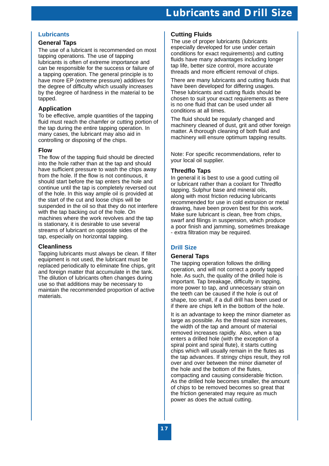# **Lubricants**

# **General Taps**

The use of a lubricant is recommended on most tapping operations. The use of tapping lubricants is often of extreme importance and can be responsible for the success or failure of a tapping operation. The general principle is to have more EP (extreme pressure) additives for the degree of difficulty which usually increases by the degree of hardness in the material to be tapped.

# **Application**

To be effective, ample quantities of the tapping fluid must reach the chamfer or cutting portion of the tap during the entire tapping operation. In many cases, the lubricant may also aid in controlling or disposing of the chips.

# **Flow**

The flow of the tapping fluid should be directed into the hole rather than at the tap and should have sufficient pressure to wash the chips away from the hole. If the flow is not continuous, it should start before the tap enters the hole and continue until the tap is completely reversed out of the hole. In this way ample oil is provided at the start of the cut and loose chips will be suspended in the oil so that they do not interfere with the tap backing out of the hole. On machines where the work revolves and the tap is stationary, it is desirable to use several streams of lubricant on opposite sides of the tap, especially on horizontal tapping.

# **Cleanliness**

Tapping lubricants must always be clean. If filter equipment is not used, the lubricant must be replaced periodically to eliminate fine chips, grit and foreign matter that accumulate in the tank. The dilution of lubricants often changes during use so that additions may be necessary to maintain the recommended proportion of active materials.

# **Cutting Fluids**

The use of proper lubricants (lubricants especially developed for use under certain conditions for exact requirements) and cutting fluids have many advantages including longer tap life, better size control, more accurate threads and more efficient removal of chips.

There are many lubricants and cutting fluids that have been developed for differing usages. These lubricants and cutting fluids should be chosen to suit your exact requirements as there is no one fluid that can be used under all conditions at all times.

The fluid should be regularly changed and machinery cleaned of dust, grit and other foreign matter. A thorough cleaning of both fluid and machinery will ensure optimum tapping results.

Note: For specific recommendations, refer to your local oil supplier.

# **Thredflo Taps**

In general it is best to use a good cutting oil or lubricant rather than a coolant for Thredflo tapping. Sulphur base and mineral oils, along with most friction reducing lubricants recommended for use in cold extrusion or metal drawing, have been proven best for this work. Make sure lubricant is clean, free from chips, swarf and filings in suspension, which produce a poor finish and jamming, sometimes breakage - extra filtration may be required.

# **Drill Size**

# **General Taps**

The tapping operation follows the drilling operation, and will not correct a poorly tapped hole. As such, the quality of the drilled hole is important. Tap breakage, difficulty in tapping, more power to tap, and unnecessary strain on the teeth can be caused if the hole is out of shape, too small, if a dull drill has been used or if there are chips left in the bottom of the hole.

It is an advantage to keep the minor diameter as large as possible. As the thread size increases, the width of the tap and amount of material removed increases rapidly. Also, when a tap enters a drilled hole (with the exception of a spiral point and spiral flute), it starts cutting chips which will usually remain in the flutes as the tap advances. If stringy chips result, they roll over and over between the minor diameter of the hole and the bottom of the flutes, compacting and causing considerable friction. As the drilled hole becomes smaller, the amount of chips to be removed becomes so great that the friction generated may require as much power as does the actual cutting.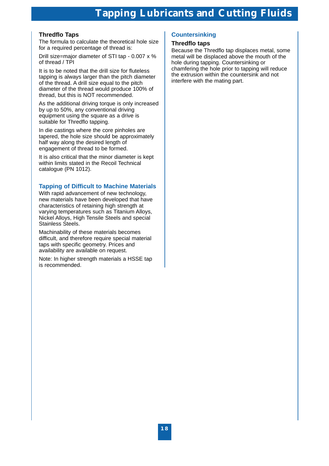# **Tapping Lubricants and Cutting Fluids**

# **Thredflo Taps**

The formula to calculate the theoretical hole size for a required percentage of thread is:

Drill size=major diameter of STI tap - 0.007 x % of thread / TPI

It is to be noted that the drill size for fluteless tapping is always larger than the pitch diameter of the thread. A drill size equal to the pitch diameter of the thread would produce 100% of thread, but this is NOT recommended.

As the additional driving torque is only increased by up to 50%, any conventional driving equipment using the square as a drive is suitable for Thredflo tapping.

In die castings where the core pinholes are tapered, the hole size should be approximately half way along the desired length of engagement of thread to be formed.

It is also critical that the minor diameter is kept within limits stated in the Recoil Technical catalogue (PN 1012).

# **Tapping of Difficult to Machine Materials**

With rapid advancement of new technology, new materials have been developed that have characteristics of retaining high strength at varying temperatures such as Titanium Alloys, Nickel Alloys, High Tensile Steels and special Stainless Steels.

Machinability of these materials becomes difficult, and therefore require special material taps with specific geometry. Prices and availability are available on request.

Note: In higher strength materials a HSSE tap is recommended.

# **Countersinking**

# **Thredflo taps**

Because the Thredflo tap displaces metal, some metal will be displaced above the mouth of the hole during tapping. Countersinking or chamfering the hole prior to tapping will reduce the extrusion within the countersink and not interfere with the mating part.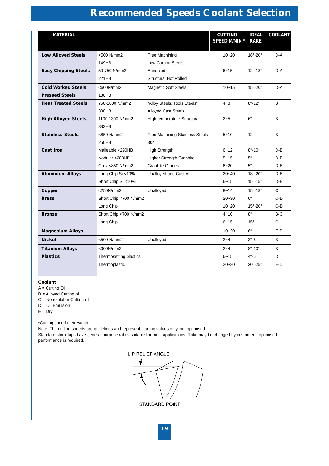# **Recommended Speeds Coolant Selection**

| <b>MATERIAL</b>             |                        |                                 | <b>CUTTING</b><br><b>SPEED M/MIN *</b> | <b>IDEAL</b><br><b>RAKE</b> | <b>COOLANT</b> |
|-----------------------------|------------------------|---------------------------------|----------------------------------------|-----------------------------|----------------|
| <b>Low Alloyed Steels</b>   | <500 N/mm2             | Free Machining                  | $10 - 20$                              | $18^\circ - 20^\circ$       | $D-A$          |
|                             | 149HB                  | Low Carbon Steels               |                                        |                             |                |
| <b>Easy Chipping Steels</b> | 50-750 N/mm2           | Annealed                        | $6 - 15$                               | $12^{\circ} - 18^{\circ}$   | D-A            |
|                             | 221HB                  | <b>Structural Hot Rolled</b>    |                                        |                             |                |
| <b>Cold Worked Steels</b>   | <600N/mm2              | <b>Magnetic Soft Steels</b>     | $10 - 15$                              | $15^\circ - 20^\circ$       | D-A            |
| <b>Pressed Steels</b>       | 180HB                  |                                 |                                        |                             |                |
| <b>Heat Treated Steels</b>  | 750-1000 N/mm2         | "Alloy Steels, Tools Steels"    | $4 - 8$                                | $8^\circ - 12^\circ$        | B              |
|                             | 300HB                  | <b>Alloyed Cast Steels</b>      |                                        |                             |                |
| <b>High Alloyed Steels</b>  | 1100-1300 N/mm2        | High temperature Structural     | $2 - 5$                                | $6^\circ$                   | B              |
|                             | 383HB                  |                                 |                                        |                             |                |
| <b>Stainless Steels</b>     | <850 N/mm2             | Free Machining Stainless Steels | $5 - 10$                               | $12^{\circ}$                | B              |
|                             | 250HB                  | 304                             |                                        |                             |                |
| <b>Cast Iron</b>            | Malleable <290HB       | <b>High Strength</b>            | $6 - 12$                               | $8^\circ - 10^\circ$        | $D - B$        |
|                             | Nodular <200HB         | Higher Strength Graphite        | $5 - 15$                               | $5^{\circ}$                 | D-B            |
|                             | Grey <850 N/mm2        | <b>Graphite Grades</b>          | $6 - 20$                               | $5^{\circ}$                 | D-B            |
| <b>Aluminium Alloys</b>     | Long Chip Si <10%      | Unalloyed and Cast Al.          | $20 - 40$                              | $18^\circ - 20^\circ$       | D-B            |
|                             | Short Chip Si <10%     |                                 | $6 - 15$                               | $15^{\circ} - 15^{\circ}$   | D-B            |
| Copper                      | $<$ 250N/mm2           | Unalloyed                       | $8 - 14$                               | $15^{\circ} - 18^{\circ}$   | $\mathsf{C}$   |
| <b>Brass</b>                | Short Chip <700 N/mm2  |                                 | $20 - 30$                              | $6^{\circ}$                 | $C-D$          |
|                             | Long Chip              |                                 | $10 - 20$                              | $15^{\circ}$ -20 $^{\circ}$ | C-D            |
| <b>Bronze</b>               | Short Chip <700 N/mm2  |                                 | $4 - 10$                               | $8^{\circ}$                 | $B-C$          |
|                             | Long Chip              |                                 | $6 - 15$                               | $15^{\circ}$                | $\mathsf{C}$   |
| <b>Magnesium Alloys</b>     |                        |                                 | $10 - 20$                              | $6^{\circ}$                 | $E-D$          |
| <b>Nickel</b>               | <500 N/mm2             | Unalloyed                       | $2 - 4$                                | $3^\circ - 6^\circ$         | B              |
| <b>Titanium Alloys</b>      | $<$ 900N/mm2           |                                 | $2 - 4$                                | $8^\circ - 10^\circ$        | B              |
| <b>Plastics</b>             | Thermosetting plastics |                                 | $6 - 15$                               | $4^\circ - 6^\circ$         | D              |
|                             | Thermoplastic          |                                 | $20 - 30$                              | $20^{\circ}$ -25°           | $E-D$          |

### **Coolant**

- $A =$  Cutting Oil
- B = Alloyed Cutting oil
- C = Non-sulphur Cutting oil
- $D = Oil$  Emulsion
- $E = Dry$

\*Cutting speed metres/min

Note: The cutting speeds are guidelines and represent starting values only, not optimised Standard stock taps have general purpose rakes suitable for most applications. Rake may be changed by customer if optimised performance is required.

LIP RELIEF ANGLE

STANDARD POINT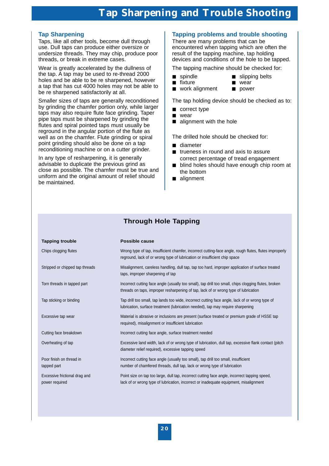# **Tap Sharpening**

Taps, like all other tools, become dull through use. Dull taps can produce either oversize or undersize threads. They may chip, produce poor threads, or break in extreme cases.

Wear is greatly accelerated by the dullness of the tap. A tap may be used to re-thread 2000 holes and be able to be re sharpened, however a tap that has cut 4000 holes may not be able to be re sharpened satisfactorily at all.

Smaller sizes of taps are generally reconditioned by grinding the chamfer portion only, while larger taps may also require flute face grinding. Taper pipe taps must be sharpened by grinding the flutes and spiral pointed taps must usually be reground in the angular portion of the flute as well as on the chamfer. Flute grinding or spiral point grinding should also be done on a tap reconditioning machine or on a cutter grinder.

In any type of resharpening, it is generally advisable to duplicate the previous grind as close as possible. The chamfer must be true and uniform and the original amount of relief should be maintained.

# **Tapping problems and trouble shooting**

There are many problems that can be encountered when tapping which are often the result of the tapping machine, tap holding devices and conditions of the hole to be tapped.

The tapping machine should be checked for:

- 
- spindle slipping belts
- fixture wear
- work alignment power

The tap holding device should be checked as to:

- correct type
- wear
- alignment with the hole

The drilled hole should be checked for:

- diameter
- trueness in round and axis to assure correct percentage of tread engagement
- blind holes should have enough chip room at the bottom
- alignment

# **Through Hole Tapping**

| <b>Tapping trouble</b>                          | <b>Possible cause</b>                                                                                                                                                                       |
|-------------------------------------------------|---------------------------------------------------------------------------------------------------------------------------------------------------------------------------------------------|
| Chips clogging flutes                           | Wrong type of tap, insufficient chamfer, incorrect cutting-face angle, rough flutes, flutes improperly<br>reground, lack of or wrong type of lubrication or insufficient chip space         |
| Stripped or chipped tap threads                 | Misalignment, careless handling, dull tap, tap too hard, improper application of surface treated<br>taps, improper sharpening of tap                                                        |
| Torn threads in tapped part                     | Incorrect cutting face angle (usually too small), tap drill too small, chips clogging flutes, broken<br>threads on taps, improper resharpening of tap, lack of or wrong type of lubrication |
| Tap sticking or binding                         | Tap drill too small, tap lands too wide, incorrect cutting face angle, lack of or wrong type of<br>lubrication, surface treatment (lubrication needed), tap may require sharpening          |
| Excessive tap wear                              | Material is abrasive or inclusions are present (surface treated or premium grade of HSSE tap<br>required), misalignment or insufficient lubrication                                         |
| Cutting face breakdown                          | Incorrect cutting face angle, surface treatment needed                                                                                                                                      |
| Overheating of tap                              | Excessive land width, lack of or wrong type of lubrication, dull tap, excessive flank contact (pitch<br>diameter relief required), excessive tapping speed                                  |
| Poor finish on thread in<br>tapped part         | Incorrect cutting face angle (usually too small), tap drill too small, insufficient<br>number of chamfered threads, dull tap, lack or wrong type of lubrication                             |
| Excessive frictional drag and<br>power required | Point size on tap too large, dull tap, incorrect cutting face angle, incorrect tapping speed,<br>lack of or wrong type of lubrication, incorrect or inadequate equipment, misalignment      |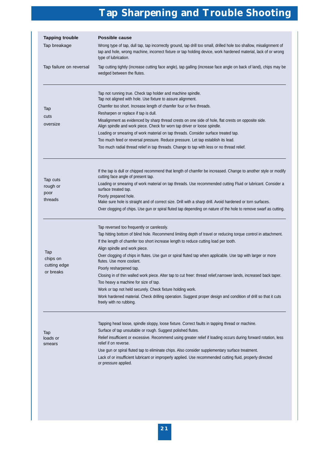# **Tap Sharpening and Trouble Shooting**

| <b>Tapping trouble</b><br>Possible cause |                                                                                                                                                                                                                                                               |  |  |  |
|------------------------------------------|---------------------------------------------------------------------------------------------------------------------------------------------------------------------------------------------------------------------------------------------------------------|--|--|--|
| Tap breakage                             | Wrong type of tap, dull tap, tap incorrectly ground, tap drill too small, drilled hole too shallow, misalignment of<br>tap and hole, wrong machine, incorrect fixture or tap holding device, work hardened material, lack of or wrong<br>type of lubrication. |  |  |  |
| Tap failure on reversal                  | Tap cutting tightly (increase cutting face angle), tap galling (increase face angle on back of land), chips may be<br>wedged between the flutes.                                                                                                              |  |  |  |
|                                          | Tap not running true. Check tap holder and machine spindle.<br>Tap not aligned with hole. Use fixture to assure alignment.                                                                                                                                    |  |  |  |
| Tap                                      | Chamfer too short. Increase length of chamfer four or five threads.                                                                                                                                                                                           |  |  |  |
| cuts                                     | Resharpen or replace if tap is dull.                                                                                                                                                                                                                          |  |  |  |
| oversize                                 | Misalignment as evidenced by sharp thread crests on one side of hole, flat crests on opposite side.<br>Align spindle and work piece. Check for worn tap driver or loose spindle.                                                                              |  |  |  |
|                                          | Loading or smearing of work material on tap threads. Consider surface treated tap.                                                                                                                                                                            |  |  |  |
|                                          | Too much feed or reversal pressure. Reduce pressure. Let tap establish its lead.                                                                                                                                                                              |  |  |  |
|                                          | Too much radial thread relief in tap threads. Change to tap with less or no thread relief.                                                                                                                                                                    |  |  |  |
|                                          | If the tap is dull or chipped recommend that length of chamfer be increased. Change to another style or modify<br>cutting face angle of present tap.                                                                                                          |  |  |  |
| Tap cuts<br>rough or                     | Loading or smearing of work material on tap threads. Use recommended cutting Fluid or lubricant. Consider a<br>surface treated tap.                                                                                                                           |  |  |  |
| poor<br>threads                          | Poorly prepared hole.<br>Make sure hole is straight and of correct size. Drill with a sharp drill. Avoid hardened or torn surfaces.                                                                                                                           |  |  |  |
|                                          | Over clogging of chips. Use gun or spiral fluted tap depending on nature of the hole to remove swarf as cutting.                                                                                                                                              |  |  |  |
|                                          | Tap reversed too frequently or carelessly.<br>Tap hitting bottom of blind hole. Recommend limiting depth of travel or reducing torque control in attachment.<br>If the length of chamfer too short increase length to reduce cutting load per tooth.          |  |  |  |
| Tap                                      | Align spindle and work piece.                                                                                                                                                                                                                                 |  |  |  |
| chips on<br>cutting edge                 | Over clogging of chips in flutes. Use gun or spiral fluted tap when applicable. Use tap with larger or more<br>flutes. Use more coolant.                                                                                                                      |  |  |  |
| or breaks                                | Poorly resharpened tap.                                                                                                                                                                                                                                       |  |  |  |
|                                          | Closing in of thin walled work piece. Alter tap to cut freer: thread relief, narrower lands, increased back taper.<br>Too heavy a machine for size of tap.                                                                                                    |  |  |  |
|                                          | Work or tap not held securely. Check fixture holding work.                                                                                                                                                                                                    |  |  |  |
|                                          | Work hardened material. Check drilling operation. Suggest proper design and condition of drill so that it cuts<br>freely with no rubbing.                                                                                                                     |  |  |  |
| Tap                                      | Tapping head loose, spindle sloppy, loose fixture. Correct faults in tapping thread or machine.<br>Surface of tap unsuitable or rough. Suggest polished flutes.                                                                                               |  |  |  |
| loads or<br>smears                       | Relief insufficient or excessive. Recommend using greater relief if loading occurs during forward rotation, less<br>relief if on reverse.                                                                                                                     |  |  |  |
|                                          | Use gun or spiral fluted tap to eliminate chips. Also consider supplementary surface treatment.<br>Lack of or insufficient lubricant or improperly applied. Use recommended cutting fluid, properly directed<br>or pressure applied.                          |  |  |  |
|                                          |                                                                                                                                                                                                                                                               |  |  |  |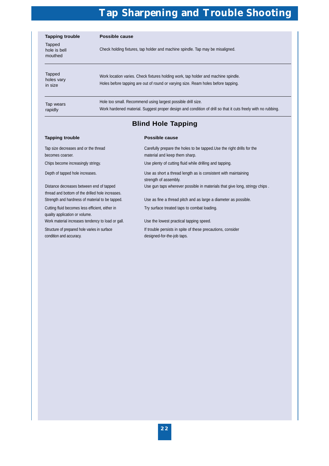# **Tap Sharpening and Trouble Shooting**

| <b>Tapping trouble</b>            | Possible cause                                                                                                                                                               |  |
|-----------------------------------|------------------------------------------------------------------------------------------------------------------------------------------------------------------------------|--|
| Tapped<br>hole is bell<br>mouthed | Check holding fixtures, tap holder and machine spindle. Tap may be misaligned.                                                                                               |  |
| Tapped<br>holes vary<br>in size   | Work location varies. Check fixtures holding work, tap holder and machine spindle.<br>Holes before tapping are out of round or varying size. Ream holes before tapping.      |  |
| Tap wears<br>rapidly              | Hole too small. Recommend using largest possible drill size.<br>Work hardened material. Suggest proper design and condition of drill so that it cuts freely with no rubbing. |  |

# **Blind Hole Tapping**

### **Tapping trouble Cause 2018 Tapping trouble 2018**

| Tap size decreases and or the thread<br>becomes coarser.                                     | Carefully prepare the holes to be tapped. Use the right drills for the<br>material and keep them sharp. |
|----------------------------------------------------------------------------------------------|---------------------------------------------------------------------------------------------------------|
| Chips become increasingly stringy.                                                           | Use plenty of cutting fluid while drilling and tapping.                                                 |
| Depth of tapped hole increases.                                                              | Use as short a thread length as is consistent with maintaining<br>strength of assembly.                 |
| Distance decreases between end of tapped<br>thread and bottom of the drilled hole increases. | Use gun taps wherever possible in materials that give long, stringy chips.                              |
| Strength and hardness of material to be tapped.                                              | Use as fine a thread pitch and as large a diameter as possible.                                         |
| Cutting fluid becomes less efficient, either in<br>quality application or volume.            | Try surface treated taps to combat loading.                                                             |
| Work material increases tendency to load or gall.                                            | Use the lowest practical tapping speed.                                                                 |
| Structure of prepared hole varies in surface<br>condition and accuracy.                      | If trouble persists in spite of these precautions, consider<br>designed-for-the-job taps.               |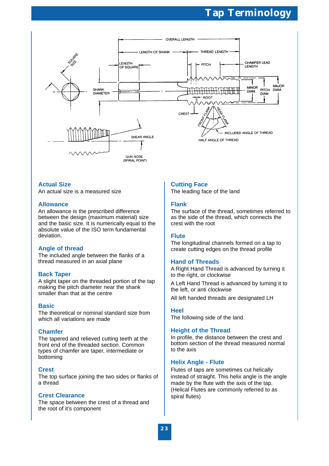

# **Actual Size**

An actual size is a measured size

# **Allowance**

An allowance is the prescribed difference between the design (maximum material) size and the basic size. It is numerically equal to the absolute value of the ISO term fundamental deviation.

# **Angle of thread**

The included angle between the flanks of a thread measured in an axial plane

# **Back Taper**

A slight taper on the threaded portion of the tap making the pitch diameter near the shank smaller than that at the centre

# **Basic**

The theoretical or nominal standard size from which all variations are made

# **Chamfer**

The tapered and relieved cutting teeth at the front end of the threaded section. Common types of chamfer are taper, intermediate or bottoming

# **Crest**

The top surface joining the two sides or flanks of a thread

# **Crest Clearance**

The space between the crest of a thread and the root of it's component

# **Cutting Face**

The leading face of the land

# **Flank**

The surface of the thread, sometimes referred to as the side of the thread, which connects the crest with the root

# **Flute**

The longitudinal channels formed on a tap to create cutting edges on the thread profile

# **Hand of Threads**

A Right Hand Thread is advanced by turning it to the right, or clockwise

A Left Hand Thread is advanced by turning it to the left, or anti clockwise

All left handed threads are designated LH

## **Heel**

The following side of the land

# **Height of the Thread**

In profile, the distance between the crest and bottom section of the thread measured normal to the axis

# **Helix Angle - Flute**

Flutes of taps are sometimes cut helically instead of straight. This helix angle is the angle made by the flute with the axis of the tap. (Helical Flutes are commonly referred to as spiral flutes)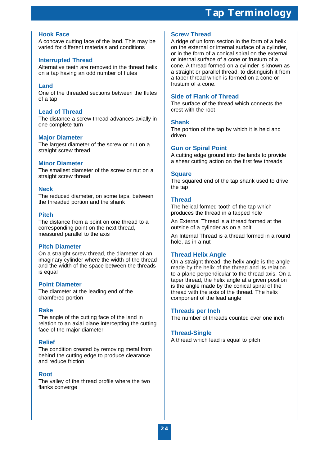# **Hook Face**

A concave cutting face of the land. This may be varied for different materials and conditions

# **Interrupted Thread**

Alternative teeth are removed in the thread helix on a tap having an odd number of flutes

# **Land**

One of the threaded sections between the flutes of a tap

# **Lead of Thread**

The distance a screw thread advances axially in one complete turn

## **Major Diameter**

The largest diameter of the screw or nut on a straight screw thread

# **Minor Diameter**

The smallest diameter of the screw or nut on a straight screw thread

## **Neck**

The reduced diameter, on some taps, between the threaded portion and the shank

# **Pitch**

The distance from a point on one thread to a corresponding point on the next thread, measured parallel to the axis

## **Pitch Diameter**

On a straight screw thread, the diameter of an imaginary cylinder where the width of the thread and the width of the space between the threads is equal

## **Point Diameter**

The diameter at the leading end of the chamfered portion

## **Rake**

The angle of the cutting face of the land in relation to an axial plane intercepting the cutting face of the major diameter

# **Relief**

The condition created by removing metal from behind the cutting edge to produce clearance and reduce friction

## **Root**

The valley of the thread profile where the two flanks converge

# **Screw Thread**

A ridge of uniform section in the form of a helix on the external or internal surface of a cylinder, or in the form of a conical spiral on the external or internal surface of a cone or frustum of a cone. A thread formed on a cylinder is known as a straight or parallel thread, to distinguish it from a taper thread which is formed on a cone or frustum of a cone.

# **Side of Flank of Thread**

The surface of the thread which connects the crest with the root

# **Shank**

The portion of the tap by which it is held and driven

# **Gun or Spiral Point**

A cutting edge ground into the lands to provide a shear cutting action on the first few threads

## **Square**

The squared end of the tap shank used to drive the tap

# **Thread**

The helical formed tooth of the tap which produces the thread in a tapped hole

An External Thread is a thread formed at the outside of a cylinder as on a bolt

An Internal Thread is a thread formed in a round hole, as in a nut

## **Thread Helix Angle**

On a straight thread, the helix angle is the angle made by the helix of the thread and its relation to a plane perpendicular to the thread axis. On a taper thread, the helix angle at a given position is the angle made by the conical spiral of the thread with the axis of the thread. The helix component of the lead angle

## **Threads per Inch**

The number of threads counted over one inch

## **Thread-Single**

A thread which lead is equal to pitch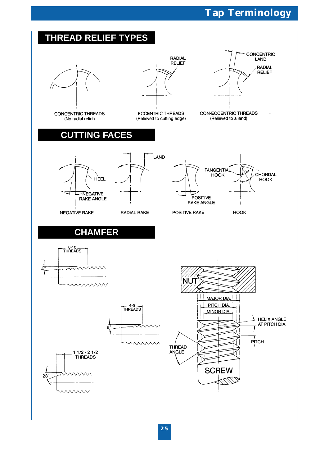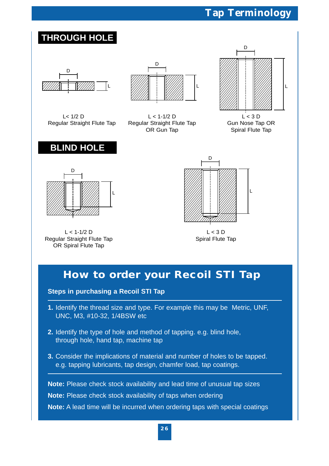

**Note:** Please check stock availability of taps when ordering

**Note:** A lead time will be incurred when ordering taps with special coatings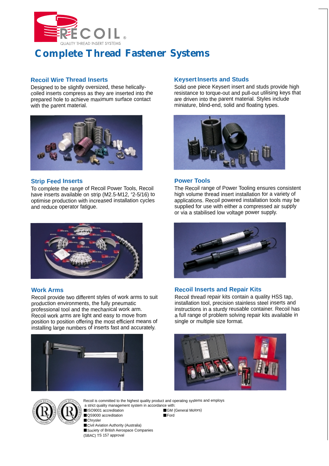

# **Complete Thread Fastener Systems**

# **Recoil Wire Thread Inserts**

Designed to be slightly oversized, these helicallycoiled inserts compress as they are inserted into the prepared hole to achieve maximum surface contact with the parent material.



# **Strip Feed Inserts**

To complete the range of Recoil Power Tools, Recoil have inserts available on strip (M2.5-M12, # 2-5/16) to optimise production with increased installation cycles and reduce operator fatigue.



# **Work Arms**

Recoil provide two different styles of work arms to suit production environments, the fully pneumatic professional tool and the mechanical work arm. Recoil work arms are light and easy to move from position to position offering the most efficient means of installing large numbers of inserts fast and accurately.



# **Keysert Inserts and Studs**

Solid one piece Keysert insert and studs provide high resistance to torque-out and pull-out utilising keys that are driven into the parent material. Styles include miniature, blind-end, solid and floating types.



# **Power Tools**

The Recoil range of Power Tooling ensures consistent high volume thread insert installation for a variety of applications. Recoil powered installation tools may be supplied for use with either a compressed air supply or via a stabilised low voltage power supply.



# **Recoil Inserts and Repair Kits**

Recoil thread repair kits contain a quality HSS tap, installation tool, precision stainless steel inserts and instructions in a sturdy reusable container. Recoil has a full range of problem solving repair kits available in single or multiple size format.





Recoil is committed to the highest quality product and operating systems and employs a strict quality management system in accordance with: ■ ISO9001 accreditation

■ QS9000 accreditation ■ Ford

■ Chrysler ■ Civil Aviation Authority (Australia) ■ Society of British Aerospace Companies (SBAC) TS 157 approval